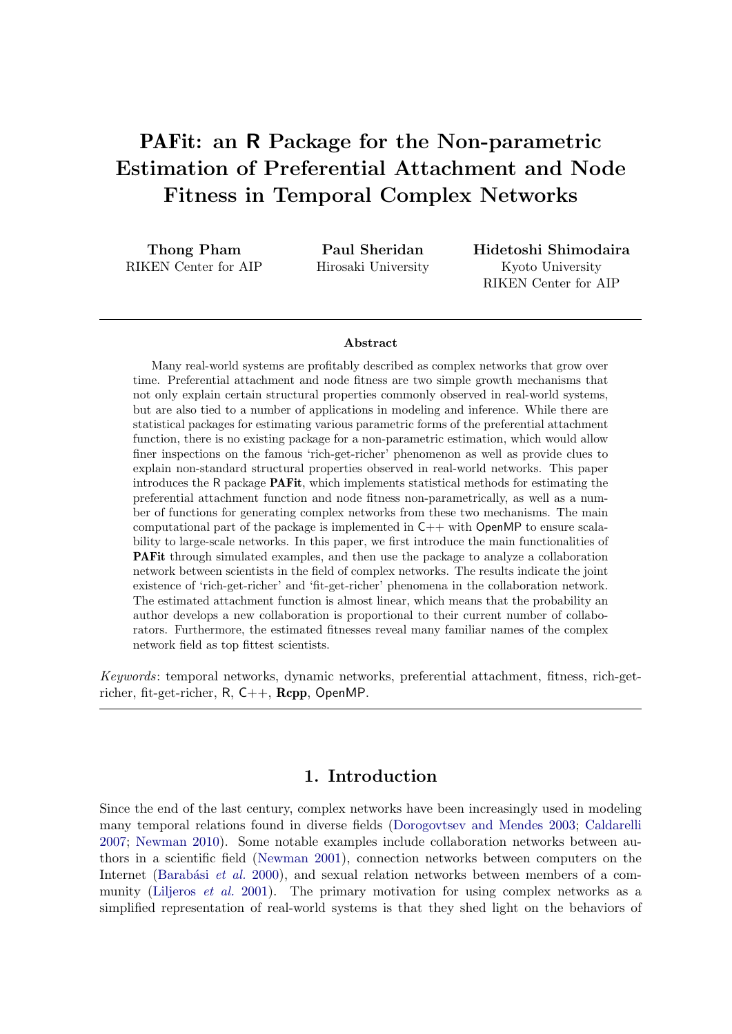# PAFit: an R Package for the Non-parametric Estimation of Preferential Attachment and Node Fitness in Temporal Complex Networks

Thong Pham RIKEN Center for AIP

Paul Sheridan Hirosaki University Hidetoshi Shimodaira Kyoto University RIKEN Center for AIP

#### Abstract

Many real-world systems are profitably described as complex networks that grow over time. Preferential attachment and node fitness are two simple growth mechanisms that not only explain certain structural properties commonly observed in real-world systems, but are also tied to a number of applications in modeling and inference. While there are statistical packages for estimating various parametric forms of the preferential attachment function, there is no existing package for a non-parametric estimation, which would allow finer inspections on the famous 'rich-get-richer' phenomenon as well as provide clues to explain non-standard structural properties observed in real-world networks. This paper introduces the R package PAFit, which implements statistical methods for estimating the preferential attachment function and node fitness non-parametrically, as well as a number of functions for generating complex networks from these two mechanisms. The main computational part of the package is implemented in C++ with OpenMP to ensure scalability to large-scale networks. In this paper, we first introduce the main functionalities of PAFit through simulated examples, and then use the package to analyze a collaboration network between scientists in the field of complex networks. The results indicate the joint existence of 'rich-get-richer' and 'fit-get-richer' phenomena in the collaboration network. The estimated attachment function is almost linear, which means that the probability an author develops a new collaboration is proportional to their current number of collaborators. Furthermore, the estimated fitnesses reveal many familiar names of the complex network field as top fittest scientists.

Keywords: temporal networks, dynamic networks, preferential attachment, fitness, rich-getricher, fit-get-richer, R, C++, Rcpp, OpenMP.

# 1. Introduction

Since the end of the last century, complex networks have been increasingly used in modeling many temporal relations found in diverse fields [\(Dorogovtsev and Mendes](#page-24-0) [2003;](#page-24-0) [Caldarelli](#page-23-0) [2007;](#page-23-0) [Newman](#page-26-0) [2010\)](#page-26-0). Some notable examples include collaboration networks between authors in a scientific field [\(Newman](#page-26-1) [2001\)](#page-26-1), connection networks between computers on the Internet (Barabási et al. [2000\)](#page-23-1), and sexual relation networks between members of a com-munity [\(Liljeros](#page-26-2) *et al.* [2001\)](#page-26-2). The primary motivation for using complex networks as a simplified representation of real-world systems is that they shed light on the behaviors of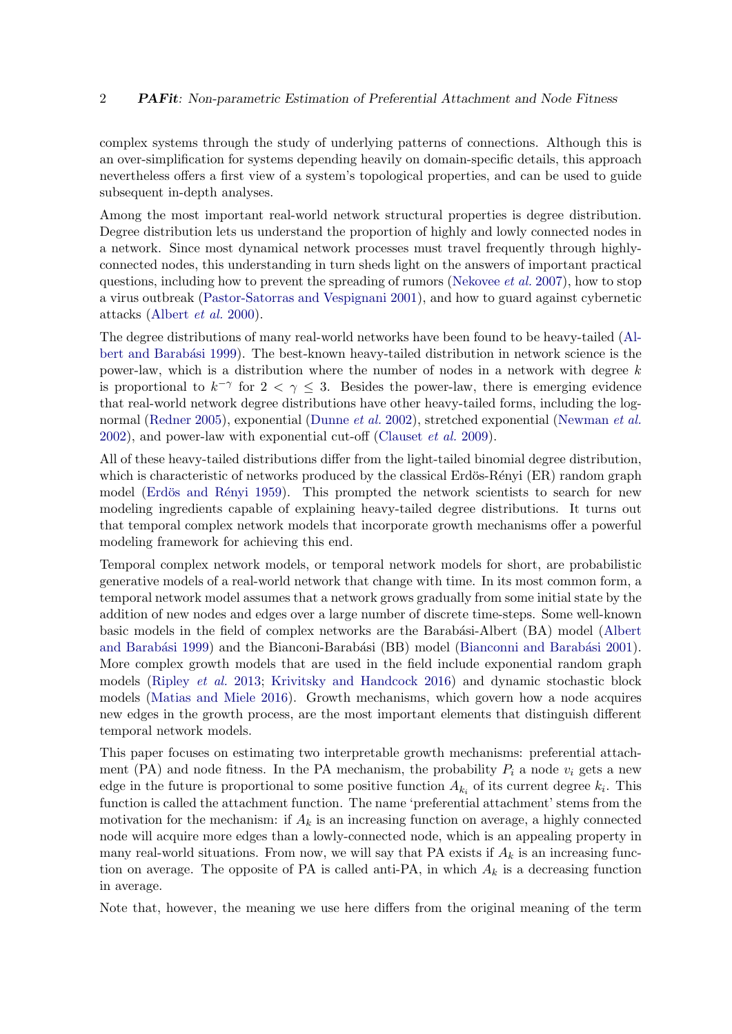complex systems through the study of underlying patterns of connections. Although this is an over-simplification for systems depending heavily on domain-specific details, this approach nevertheless offers a first view of a system's topological properties, and can be used to guide subsequent in-depth analyses.

Among the most important real-world network structural properties is degree distribution. Degree distribution lets us understand the proportion of highly and lowly connected nodes in a network. Since most dynamical network processes must travel frequently through highlyconnected nodes, this understanding in turn sheds light on the answers of important practical questions, including how to prevent the spreading of rumors [\(Nekovee](#page-26-3)  $et$  al. [2007\)](#page-26-3), how to stop a virus outbreak [\(Pastor-Satorras and Vespignani](#page-27-0) [2001\)](#page-27-0), and how to guard against cybernetic attacks [\(Albert](#page-23-2) et al. [2000\)](#page-23-2).

The degree distributions of many real-world networks have been found to be heavy-tailed [\(Al-](#page-23-3)bert and Barabási [1999\)](#page-23-3). The best-known heavy-tailed distribution in network science is the power-law, which is a distribution where the number of nodes in a network with degree  $k$ is proportional to  $k^{-\gamma}$  for  $2 < \gamma \leq 3$ . Besides the power-law, there is emerging evidence that real-world network degree distributions have other heavy-tailed forms, including the log-normal [\(Redner](#page-27-1) [2005\)](#page-27-1), exponential [\(Dunne](#page-24-1) *et al.* [2002\)](#page-24-1), stretched exponential [\(Newman](#page-26-4) *et al.* [2002\)](#page-26-4), and power-law with exponential cut-off [\(Clauset](#page-24-2) et al. [2009\)](#page-24-2).

All of these heavy-tailed distributions differ from the light-tailed binomial degree distribution, which is characteristic of networks produced by the classical Erdös-Rényi  $(ER)$  random graph model (Erdös and Rényi [1959\)](#page-24-3). This prompted the network scientists to search for new modeling ingredients capable of explaining heavy-tailed degree distributions. It turns out that temporal complex network models that incorporate growth mechanisms offer a powerful modeling framework for achieving this end.

Temporal complex network models, or temporal network models for short, are probabilistic generative models of a real-world network that change with time. In its most common form, a temporal network model assumes that a network grows gradually from some initial state by the addition of new nodes and edges over a large number of discrete time-steps. Some well-known basic models in the field of complex networks are the Barabási-Albert (BA) model [\(Albert](#page-23-3) and Barabási [1999\)](#page-23-3) and the Bianconi-Barabási (BB) model (Bianconni and Barabási [2001\)](#page-23-4). More complex growth models that are used in the field include exponential random graph models [\(Ripley](#page-27-2) et al. [2013;](#page-27-2) [Krivitsky and Handcock](#page-25-0) [2016\)](#page-25-0) and dynamic stochastic block models [\(Matias and Miele](#page-26-5) [2016\)](#page-26-5). Growth mechanisms, which govern how a node acquires new edges in the growth process, are the most important elements that distinguish different temporal network models.

This paper focuses on estimating two interpretable growth mechanisms: preferential attachment (PA) and node fitness. In the PA mechanism, the probability  $P_i$  a node  $v_i$  gets a new edge in the future is proportional to some positive function  $A_{k_i}$  of its current degree  $k_i$ . This function is called the attachment function. The name 'preferential attachment' stems from the motivation for the mechanism: if  $A_k$  is an increasing function on average, a highly connected node will acquire more edges than a lowly-connected node, which is an appealing property in many real-world situations. From now, we will say that PA exists if  $A_k$  is an increasing function on average. The opposite of PA is called anti-PA, in which  $A_k$  is a decreasing function in average.

Note that, however, the meaning we use here differs from the original meaning of the term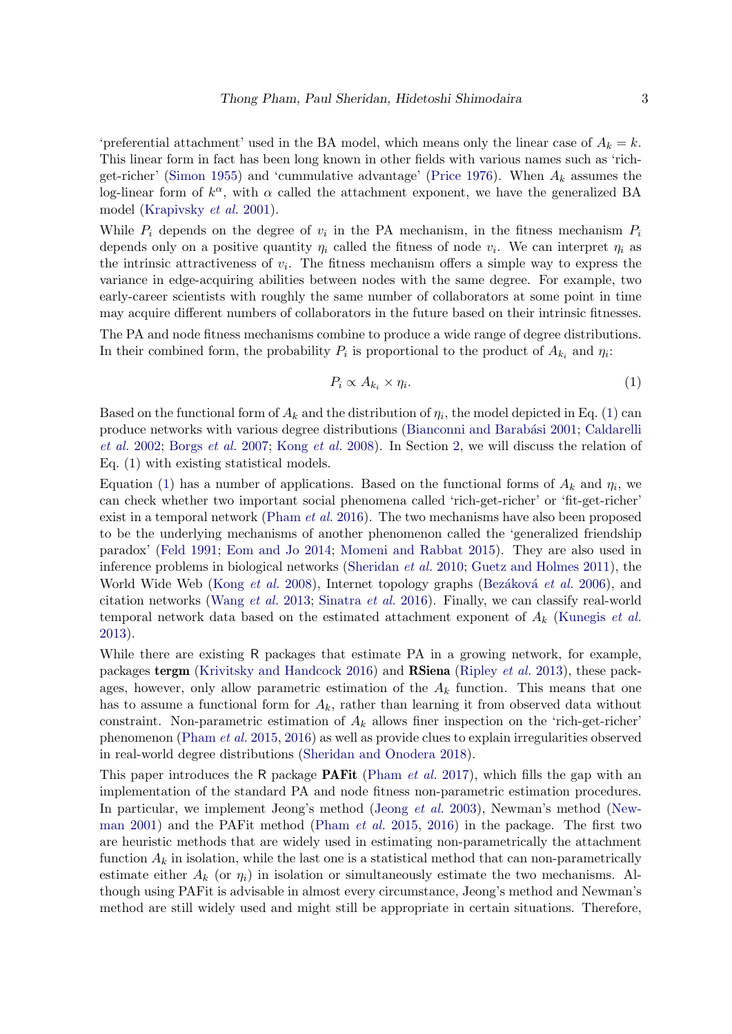'preferential attachment' used in the BA model, which means only the linear case of  $A_k = k$ . This linear form in fact has been long known in other fields with various names such as 'rich-get-richer' [\(Simon](#page-27-3) [1955\)](#page-27-3) and 'cummulative advantage' [\(Price](#page-27-4) [1976\)](#page-27-4). When  $A_k$  assumes the log-linear form of  $k^{\alpha}$ , with  $\alpha$  called the attachment exponent, we have the generalized BA model [\(Krapivsky](#page-25-1) et al. [2001\)](#page-25-1).

While  $P_i$  depends on the degree of  $v_i$  in the PA mechanism, in the fitness mechanism  $P_i$ depends only on a positive quantity  $\eta_i$  called the fitness of node  $v_i$ . We can interpret  $\eta_i$  as the intrinsic attractiveness of  $v_i$ . The fitness mechanism offers a simple way to express the variance in edge-acquiring abilities between nodes with the same degree. For example, two early-career scientists with roughly the same number of collaborators at some point in time may acquire different numbers of collaborators in the future based on their intrinsic fitnesses.

The PA and node fitness mechanisms combine to produce a wide range of degree distributions. In their combined form, the probability  $P_i$  is proportional to the product of  $A_{k_i}$  and  $\eta_i$ :

<span id="page-2-0"></span>
$$
P_i \propto A_{k_i} \times \eta_i. \tag{1}
$$

Based on the functional form of  $A_k$  and the distribution of  $\eta_i$ , the model depicted in Eq. [\(1\)](#page-2-0) can produce networks with various degree distributions (Bianconni and Barabási [2001;](#page-23-4) [Caldarelli](#page-23-5) [et al.](#page-23-5) [2002;](#page-23-5) [Borgs](#page-23-6) et al. [2007;](#page-23-6) [Kong](#page-25-2) et al. [2008\)](#page-25-2). In Section [2,](#page-3-0) we will discuss the relation of Eq. (1) with existing statistical models.

Equation [\(1\)](#page-2-0) has a number of applications. Based on the functional forms of  $A_k$  and  $\eta_i$ , we can check whether two important social phenomena called 'rich-get-richer' or 'fit-get-richer' exist in a temporal network [\(Pham](#page-27-5) *et al.* [2016\)](#page-27-5). The two mechanisms have also been proposed to be the underlying mechanisms of another phenomenon called the 'generalized friendship paradox' [\(Feld](#page-24-4) [1991;](#page-24-4) [Eom and Jo](#page-24-5) [2014;](#page-24-5) [Momeni and Rabbat](#page-26-6) [2015\)](#page-26-6). They are also used in inference problems in biological networks [\(Sheridan](#page-27-6) et al. [2010;](#page-27-6) [Guetz and Holmes](#page-24-6) [2011\)](#page-24-6), the World Wide Web [\(Kong](#page-25-2) et al. [2008\)](#page-25-2), Internet topology graphs (Bezáková et al. [2006\)](#page-23-7), and citation networks [\(Wang](#page-28-0) et al. [2013;](#page-28-0) [Sinatra](#page-28-1) et al. [2016\)](#page-28-1). Finally, we can classify real-world temporal network data based on the estimated attachment exponent of  $A_k$  [\(Kunegis](#page-26-7) *et al.*) [2013\)](#page-26-7).

While there are existing R packages that estimate PA in a growing network, for example, packages tergm [\(Krivitsky and Handcock](#page-25-0) [2016\)](#page-25-0) and RSiena [\(Ripley](#page-27-2) et al. [2013\)](#page-27-2), these packages, however, only allow parametric estimation of the  $A_k$  function. This means that one has to assume a functional form for  $A_k$ , rather than learning it from observed data without constraint. Non-parametric estimation of  $A_k$  allows finer inspection on the 'rich-get-richer' phenomenon [\(Pham](#page-27-7) et al. [2015,](#page-27-7) [2016\)](#page-27-5) as well as provide clues to explain irregularities observed in real-world degree distributions [\(Sheridan and Onodera](#page-27-8) [2018\)](#page-27-8).

This paper introduces the R package **PAFit** [\(Pham](#page-27-9) *et al.* [2017\)](#page-27-9), which fills the gap with an implementation of the standard PA and node fitness non-parametric estimation procedures. In particular, we implement Jeong's method [\(Jeong](#page-25-3) et al. [2003\)](#page-25-3), Newman's method [\(New](#page-26-1)[man](#page-26-1) [2001\)](#page-26-1) and the PAFit method [\(Pham](#page-27-7) et al. [2015,](#page-27-7) [2016\)](#page-27-5) in the package. The first two are heuristic methods that are widely used in estimating non-parametrically the attachment function  $A_k$  in isolation, while the last one is a statistical method that can non-parametrically estimate either  $A_k$  (or  $\eta_i$ ) in isolation or simultaneously estimate the two mechanisms. Although using PAFit is advisable in almost every circumstance, Jeong's method and Newman's method are still widely used and might still be appropriate in certain situations. Therefore,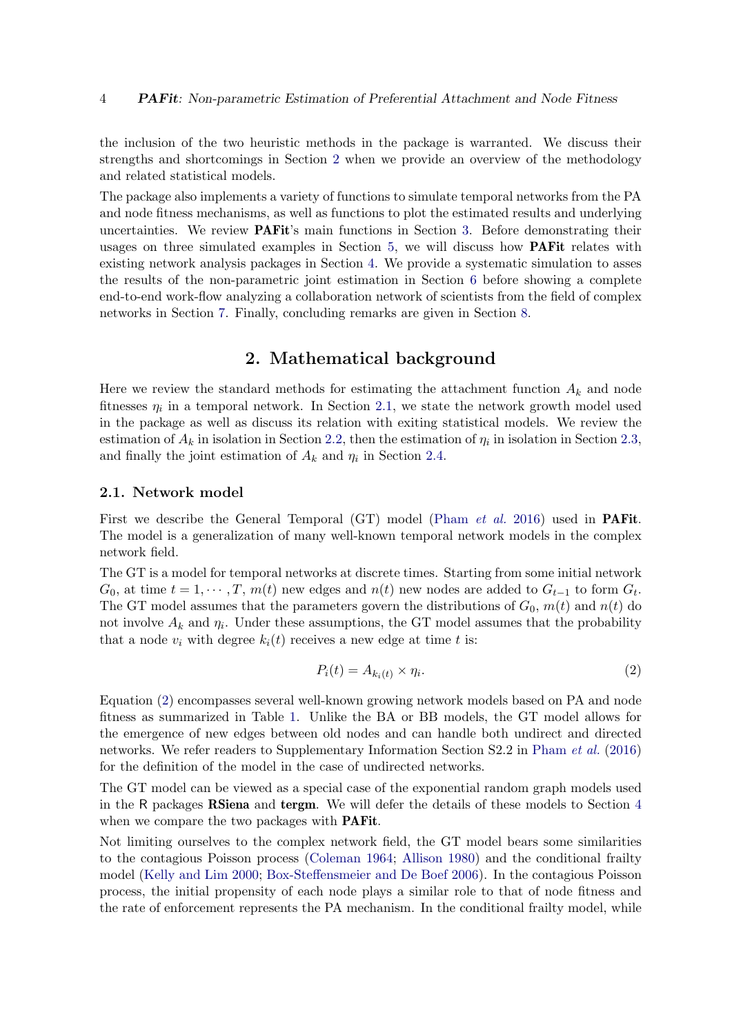the inclusion of the two heuristic methods in the package is warranted. We discuss their strengths and shortcomings in Section [2](#page-3-0) when we provide an overview of the methodology and related statistical models.

The package also implements a variety of functions to simulate temporal networks from the PA and node fitness mechanisms, as well as functions to plot the estimated results and underlying uncertainties. We review PAFit's main functions in Section [3.](#page-6-0) Before demonstrating their usages on three simulated examples in Section [5,](#page-11-0) we will discuss how **PAF**it relates with existing network analysis packages in Section [4.](#page-10-0) We provide a systematic simulation to asses the results of the non-parametric joint estimation in Section [6](#page-17-0) before showing a complete end-to-end work-flow analyzing a collaboration network of scientists from the field of complex networks in Section [7.](#page-18-0) Finally, concluding remarks are given in Section [8.](#page-22-0)

### 2. Mathematical background

<span id="page-3-0"></span>Here we review the standard methods for estimating the attachment function  $A_k$  and node fitnesses  $\eta_i$  in a temporal network. In Section [2.1,](#page-3-1) we state the network growth model used in the package as well as discuss its relation with exiting statistical models. We review the estimation of  $A_k$  in isolation in Section [2.2,](#page-4-0) then the estimation of  $\eta_i$  in isolation in Section [2.3,](#page-4-1) and finally the joint estimation of  $A_k$  and  $\eta_i$  in Section [2.4.](#page-5-0)

#### <span id="page-3-1"></span>2.1. Network model

First we describe the General Temporal (GT) model [\(Pham](#page-27-5) *et al.* [2016\)](#page-27-5) used in **PAFit**. The model is a generalization of many well-known temporal network models in the complex network field.

The GT is a model for temporal networks at discrete times. Starting from some initial network  $G_0$ , at time  $t = 1, \dots, T$ ,  $m(t)$  new edges and  $n(t)$  new nodes are added to  $G_{t-1}$  to form  $G_t$ . The GT model assumes that the parameters govern the distributions of  $G_0$ ,  $m(t)$  and  $n(t)$  do not involve  $A_k$  and  $\eta_i$ . Under these assumptions, the GT model assumes that the probability that a node  $v_i$  with degree  $k_i(t)$  receives a new edge at time t is:

<span id="page-3-2"></span>
$$
P_i(t) = A_{k_i(t)} \times \eta_i.
$$
\n<sup>(2)</sup>

Equation [\(2\)](#page-3-2) encompasses several well-known growing network models based on PA and node fitness as summarized in Table [1.](#page-4-2) Unlike the BA or BB models, the GT model allows for the emergence of new edges between old nodes and can handle both undirect and directed networks. We refer readers to Supplementary Information Section S2.2 in [Pham](#page-27-5) et al. [\(2016\)](#page-27-5) for the definition of the model in the case of undirected networks.

The GT model can be viewed as a special case of the exponential random graph models used in the R packages RSiena and tergm. We will defer the details of these models to Section [4](#page-10-0) when we compare the two packages with **PAFit**.

Not limiting ourselves to the complex network field, the GT model bears some similarities to the contagious Poisson process [\(Coleman](#page-24-7) [1964;](#page-24-7) [Allison](#page-23-8) [1980\)](#page-23-8) and the conditional frailty model [\(Kelly and Lim](#page-25-4) [2000;](#page-25-4) [Box-Steffensmeier and De Boef](#page-23-9) [2006\)](#page-23-9). In the contagious Poisson process, the initial propensity of each node plays a similar role to that of node fitness and the rate of enforcement represents the PA mechanism. In the conditional frailty model, while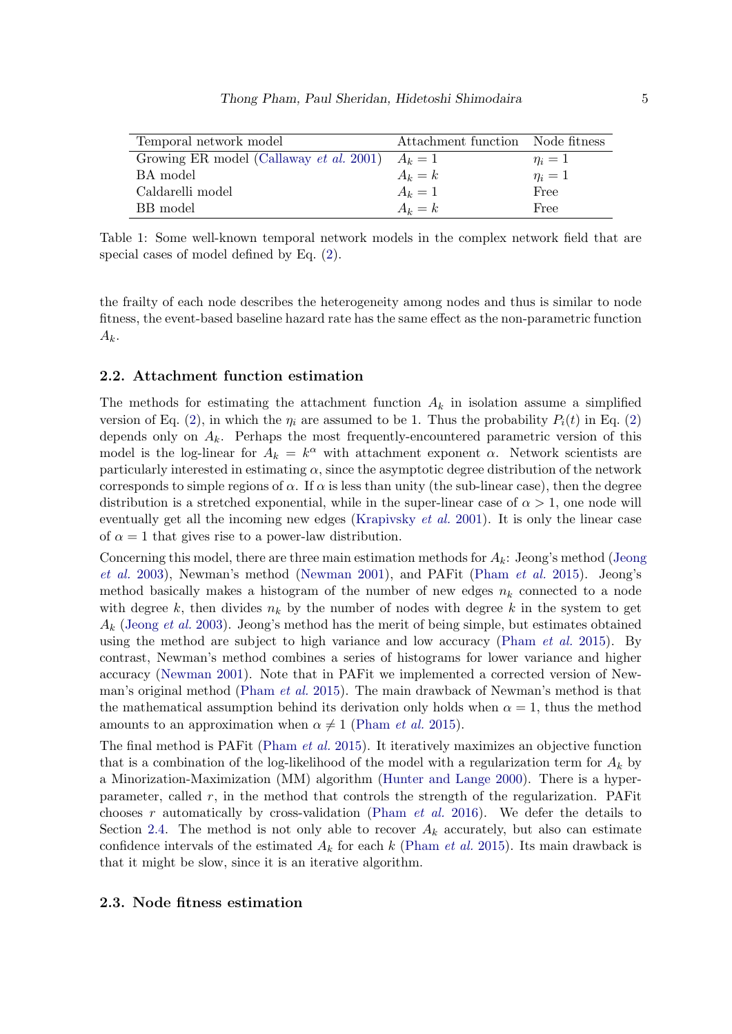<span id="page-4-2"></span>

| Temporal network model                  | Attachment function Node fitness |            |
|-----------------------------------------|----------------------------------|------------|
| Growing ER model (Callaway et al. 2001) | $A_k=1$                          | $\eta_i=1$ |
| BA model                                | $A_k = k$                        | $\eta_i=1$ |
| Caldarelli model                        | $A_k=1$                          | Free       |
| BB model                                | $A_k = k$                        | Free       |

Table 1: Some well-known temporal network models in the complex network field that are special cases of model defined by Eq. [\(2\)](#page-3-2).

the frailty of each node describes the heterogeneity among nodes and thus is similar to node fitness, the event-based baseline hazard rate has the same effect as the non-parametric function  $A_k$ .

#### <span id="page-4-0"></span>2.2. Attachment function estimation

The methods for estimating the attachment function  $A_k$  in isolation assume a simplified version of Eq. [\(2\)](#page-3-2), in which the  $\eta_i$  are assumed to be 1. Thus the probability  $P_i(t)$  in Eq. (2) depends only on  $A_k$ . Perhaps the most frequently-encountered parametric version of this model is the log-linear for  $A_k = k^{\alpha}$  with attachment exponent  $\alpha$ . Network scientists are particularly interested in estimating  $\alpha$ , since the asymptotic degree distribution of the network corresponds to simple regions of  $\alpha$ . If  $\alpha$  is less than unity (the sub-linear case), then the degree distribution is a stretched exponential, while in the super-linear case of  $\alpha > 1$ , one node will eventually get all the incoming new edges [\(Krapivsky](#page-25-1) *et al.* [2001\)](#page-25-1). It is only the linear case of  $\alpha = 1$  that gives rise to a power-law distribution.

Concerning this model, there are three main estimation methods for  $A_k$ : Jeong's method [\(Jeong](#page-25-3) [et al.](#page-25-3) [2003\)](#page-25-3), Newman's method [\(Newman](#page-26-1) [2001\)](#page-26-1), and PAFit [\(Pham](#page-27-7) et al. [2015\)](#page-27-7). Jeong's method basically makes a histogram of the number of new edges  $n_k$  connected to a node with degree k, then divides  $n_k$  by the number of nodes with degree k in the system to get  $A_k$  [\(Jeong](#page-25-3) *et al.* [2003\)](#page-25-3). Jeong's method has the merit of being simple, but estimates obtained using the method are subject to high variance and low accuracy [\(Pham](#page-27-7)  $et \ al.$  [2015\)](#page-27-7). By contrast, Newman's method combines a series of histograms for lower variance and higher accuracy [\(Newman](#page-26-1) [2001\)](#page-26-1). Note that in PAFit we implemented a corrected version of Newman's original method [\(Pham](#page-27-7) et al. [2015\)](#page-27-7). The main drawback of Newman's method is that the mathematical assumption behind its derivation only holds when  $\alpha = 1$ , thus the method amounts to an approximation when  $\alpha \neq 1$  [\(Pham](#page-27-7) *et al.* [2015\)](#page-27-7).

The final method is PAFit [\(Pham](#page-27-7) et al. [2015\)](#page-27-7). It iteratively maximizes an objective function that is a combination of the log-likelihood of the model with a regularization term for  $A_k$  by a Minorization-Maximization (MM) algorithm [\(Hunter and Lange](#page-25-5) [2000\)](#page-25-5). There is a hyperparameter, called r, in the method that controls the strength of the regularization. PAFit chooses r automatically by cross-validation [\(Pham](#page-27-5) *et al.* [2016\)](#page-27-5). We defer the details to Section [2.4.](#page-5-0) The method is not only able to recover  $A_k$  accurately, but also can estimate confidence intervals of the estimated  $A_k$  for each k [\(Pham](#page-27-7) *et al.* [2015\)](#page-27-7). Its main drawback is that it might be slow, since it is an iterative algorithm.

#### <span id="page-4-1"></span>2.3. Node fitness estimation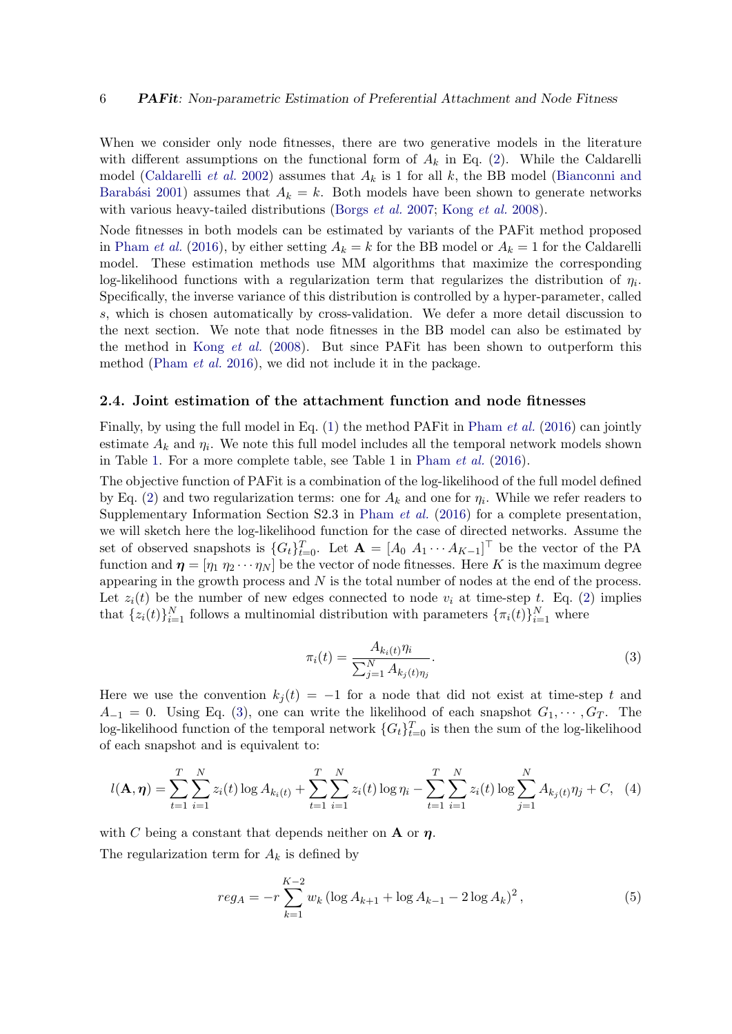When we consider only node fitnesses, there are two generative models in the literature with different assumptions on the functional form of  $A_k$  in Eq. [\(2\)](#page-3-2). While the Caldarelli model [\(Caldarelli](#page-23-5) *et al.* [2002\)](#page-23-5) assumes that  $A_k$  is 1 for all k, the BB model [\(Bianconni and](#page-23-4) Barabási [2001\)](#page-23-4) assumes that  $A_k = k$ . Both models have been shown to generate networks with various heavy-tailed distributions [\(Borgs](#page-23-6) *et al.* [2007;](#page-23-6) [Kong](#page-25-2) *et al.* [2008\)](#page-25-2).

Node fitnesses in both models can be estimated by variants of the PAFit method proposed in [Pham](#page-27-5) *et al.* [\(2016\)](#page-27-5), by either setting  $A_k = k$  for the BB model or  $A_k = 1$  for the Caldarelli model. These estimation methods use MM algorithms that maximize the corresponding log-likelihood functions with a regularization term that regularizes the distribution of  $\eta_i$ . Specifically, the inverse variance of this distribution is controlled by a hyper-parameter, called s, which is chosen automatically by cross-validation. We defer a more detail discussion to the next section. We note that node fitnesses in the BB model can also be estimated by the method in Kong *[et al.](#page-25-2)* [\(2008\)](#page-25-2). But since PAFit has been shown to outperform this method [\(Pham](#page-27-5) et al. [2016\)](#page-27-5), we did not include it in the package.

#### <span id="page-5-0"></span>2.4. Joint estimation of the attachment function and node fitnesses

Finally, by using the full model in Eq.  $(1)$  the method PAFit in [Pham](#page-27-5) *et al.*  $(2016)$  can jointly estimate  $A_k$  and  $\eta_i$ . We note this full model includes all the temporal network models shown in Table [1.](#page-4-2) For a more complete table, see Table 1 in [Pham](#page-27-5) et al. [\(2016\)](#page-27-5).

The objective function of PAFit is a combination of the log-likelihood of the full model defined by Eq. [\(2\)](#page-3-2) and two regularization terms: one for  $A_k$  and one for  $\eta_i$ . While we refer readers to Supplementary Information Section S2.3 in [Pham](#page-27-5) et al. [\(2016\)](#page-27-5) for a complete presentation, we will sketch here the log-likelihood function for the case of directed networks. Assume the set of observed snapshots is  $\{G_t\}_{t=0}^T$ . Let  $\mathbf{A} = [A_0 \ A_1 \cdots A_{K-1}]^T$  be the vector of the PA function and  $\boldsymbol{\eta} = [\eta_1 \ \eta_2 \cdots \eta_N]$  be the vector of node fitnesses. Here K is the maximum degree appearing in the growth process and  $N$  is the total number of nodes at the end of the process. Let  $z_i(t)$  be the number of new edges connected to node  $v_i$  at time-step t. Eq. [\(2\)](#page-3-2) implies that  $\{z_i(t)\}_{i=1}^N$  follows a multinomial distribution with parameters  $\{\pi_i(t)\}_{i=1}^N$  where

<span id="page-5-2"></span>
$$
\pi_i(t) = \frac{A_{k_i(t)} \eta_i}{\sum_{j=1}^N A_{k_j(t)\eta_j}}.
$$
\n(3)

<span id="page-5-1"></span>Here we use the convention  $k_i(t) = -1$  for a node that did not exist at time-step t and  $A_{-1} = 0$ . Using Eq. [\(3\)](#page-5-1), one can write the likelihood of each snapshot  $G_1, \dots, G_T$ . The log-likelihood function of the temporal network  $\{G_t\}_{t=0}^T$  is then the sum of the log-likelihood of each snapshot and is equivalent to:

$$
l(\mathbf{A}, \boldsymbol{\eta}) = \sum_{t=1}^{T} \sum_{i=1}^{N} z_i(t) \log A_{k_i(t)} + \sum_{t=1}^{T} \sum_{i=1}^{N} z_i(t) \log \eta_i - \sum_{t=1}^{T} \sum_{i=1}^{N} z_i(t) \log \sum_{j=1}^{N} A_{k_j(t)} \eta_j + C, \quad (4)
$$

with C being a constant that depends neither on **A** or  $\eta$ . The regularization term for  $A_k$  is defined by

<span id="page-5-3"></span>
$$
reg_A = -r \sum_{k=1}^{K-2} w_k \left( \log A_{k+1} + \log A_{k-1} - 2 \log A_k \right)^2, \tag{5}
$$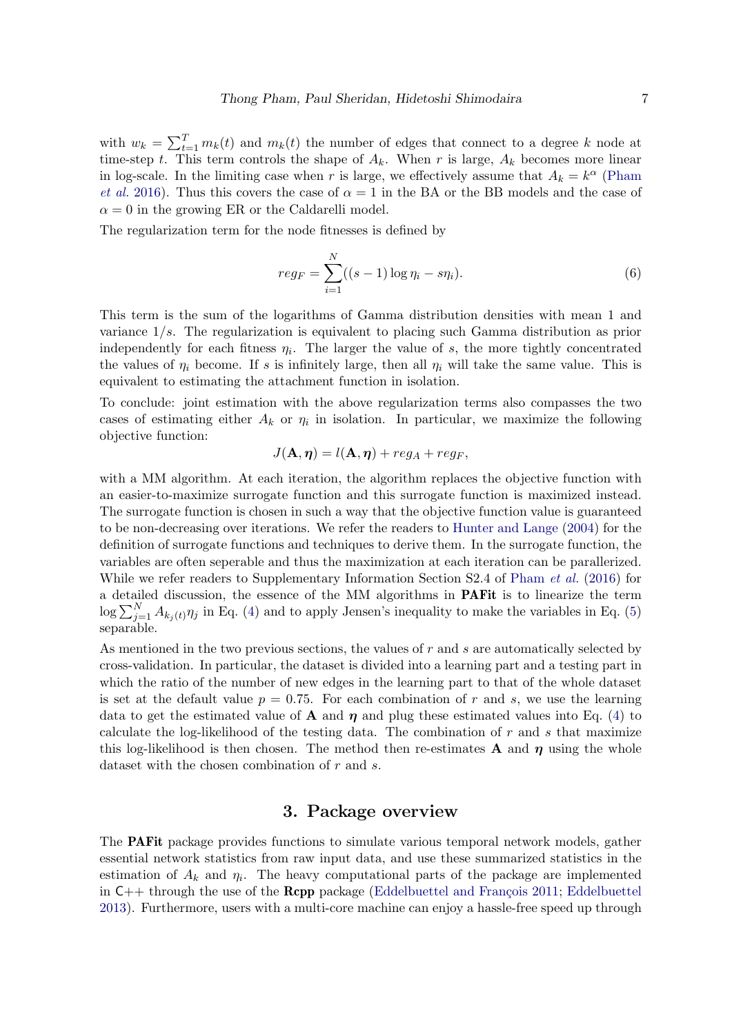with  $w_k = \sum_{t=1}^T m_k(t)$  and  $m_k(t)$  the number of edges that connect to a degree k node at time-step t. This term controls the shape of  $A_k$ . When r is large,  $A_k$  becomes more linear in log-scale. In the limiting case when r is large, we effectively assume that  $A_k = k^{\alpha}$  [\(Pham](#page-27-5) [et al.](#page-27-5) [2016\)](#page-27-5). Thus this covers the case of  $\alpha = 1$  in the BA or the BB models and the case of  $\alpha = 0$  in the growing ER or the Caldarelli model.

The regularization term for the node fitnesses is defined by

<span id="page-6-1"></span>
$$
reg_F = \sum_{i=1}^{N} ((s-1)\log \eta_i - s\eta_i).
$$
 (6)

This term is the sum of the logarithms of Gamma distribution densities with mean 1 and variance 1/s. The regularization is equivalent to placing such Gamma distribution as prior independently for each fitness  $\eta_i$ . The larger the value of s, the more tightly concentrated the values of  $\eta_i$  become. If s is infinitely large, then all  $\eta_i$  will take the same value. This is equivalent to estimating the attachment function in isolation.

To conclude: joint estimation with the above regularization terms also compasses the two cases of estimating either  $A_k$  or  $\eta_i$  in isolation. In particular, we maximize the following objective function:

$$
J(\mathbf{A}, \boldsymbol{\eta}) = l(\mathbf{A}, \boldsymbol{\eta}) + reg_A + reg_F,
$$

with a MM algorithm. At each iteration, the algorithm replaces the objective function with an easier-to-maximize surrogate function and this surrogate function is maximized instead. The surrogate function is chosen in such a way that the objective function value is guaranteed to be non-decreasing over iterations. We refer the readers to [Hunter and Lange](#page-25-6) [\(2004\)](#page-25-6) for the definition of surrogate functions and techniques to derive them. In the surrogate function, the variables are often seperable and thus the maximization at each iteration can be parallerized. While we refer readers to Supplementary Information Section S2.4 of [Pham](#page-27-5) *et al.* [\(2016\)](#page-27-5) for a detailed discussion, the essence of the MM algorithms in PAFit is to linearize the term  $\log \sum_{j=1}^{N} A_{k_j(t)} \eta_j$  in Eq. [\(4\)](#page-5-2) and to apply Jensen's inequality to make the variables in Eq. [\(5\)](#page-5-3) separable.

As mentioned in the two previous sections, the values of  $r$  and  $s$  are automatically selected by cross-validation. In particular, the dataset is divided into a learning part and a testing part in which the ratio of the number of new edges in the learning part to that of the whole dataset is set at the default value  $p = 0.75$ . For each combination of r and s, we use the learning data to get the estimated value of **A** and  $\eta$  and plug these estimated values into Eq. [\(4\)](#page-5-2) to calculate the log-likelihood of the testing data. The combination of  $r$  and  $s$  that maximize this log-likelihood is then chosen. The method then re-estimates **A** and  $\eta$  using the whole dataset with the chosen combination of r and s.

# 3. Package overview

<span id="page-6-0"></span>The PAFit package provides functions to simulate various temporal network models, gather essential network statistics from raw input data, and use these summarized statistics in the estimation of  $A_k$  and  $\eta_i$ . The heavy computational parts of the package are implemented in  $C_{++}$  through the use of the **Rcpp** package (Eddelbuettel and François [2011;](#page-24-9) [Eddelbuettel](#page-24-10) [2013\)](#page-24-10). Furthermore, users with a multi-core machine can enjoy a hassle-free speed up through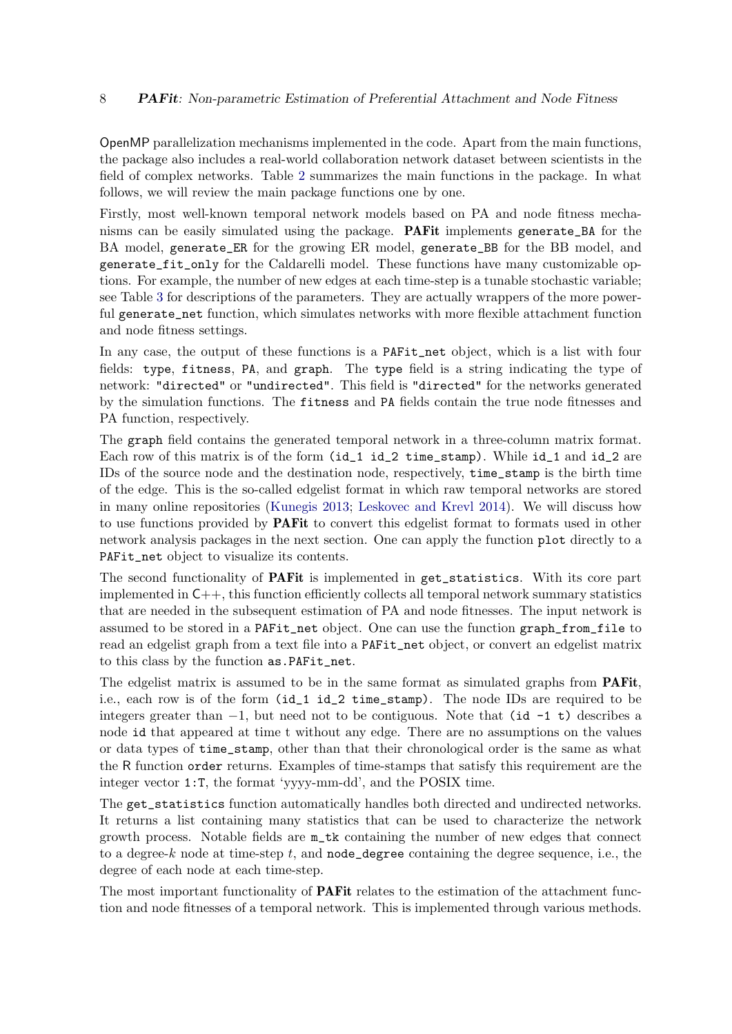### 8 **PAFit:** Non-parametric Estimation of Preferential Attachment and Node Fitness

OpenMP parallelization mechanisms implemented in the code. Apart from the main functions, the package also includes a real-world collaboration network dataset between scientists in the field of complex networks. Table [2](#page-8-0) summarizes the main functions in the package. In what follows, we will review the main package functions one by one.

Firstly, most well-known temporal network models based on PA and node fitness mechanisms can be easily simulated using the package. PAFit implements generate\_BA for the BA model, generate\_ER for the growing ER model, generate\_BB for the BB model, and generate\_fit\_only for the Caldarelli model. These functions have many customizable options. For example, the number of new edges at each time-step is a tunable stochastic variable; see Table [3](#page-9-0) for descriptions of the parameters. They are actually wrappers of the more powerful generate\_net function, which simulates networks with more flexible attachment function and node fitness settings.

In any case, the output of these functions is a PAFit\_net object, which is a list with four fields: type, fitness, PA, and graph. The type field is a string indicating the type of network: "directed" or "undirected". This field is "directed" for the networks generated by the simulation functions. The fitness and PA fields contain the true node fitnesses and PA function, respectively.

The graph field contains the generated temporal network in a three-column matrix format. Each row of this matrix is of the form  $(id_1 id_2 \times time\_stamp)$ . While  $id_1$  and  $id_2$  are IDs of the source node and the destination node, respectively, time\_stamp is the birth time of the edge. This is the so-called edgelist format in which raw temporal networks are stored in many online repositories [\(Kunegis](#page-26-8) [2013;](#page-26-8) [Leskovec and Krevl](#page-26-9) [2014\)](#page-26-9). We will discuss how to use functions provided by PAFit to convert this edgelist format to formats used in other network analysis packages in the next section. One can apply the function plot directly to a PAFit\_net object to visualize its contents.

The second functionality of PAFit is implemented in get\_statistics. With its core part implemented in  $C_{++}$ , this function efficiently collects all temporal network summary statistics that are needed in the subsequent estimation of PA and node fitnesses. The input network is assumed to be stored in a PAFit\_net object. One can use the function graph\_from\_file to read an edgelist graph from a text file into a PAFit\_net object, or convert an edgelist matrix to this class by the function as.PAFit\_net.

The edgelist matrix is assumed to be in the same format as simulated graphs from **PAFit**, i.e., each row is of the form (id\_1 id\_2 time\_stamp). The node IDs are required to be integers greater than  $-1$ , but need not to be contiguous. Note that (id  $-1$  t) describes a node id that appeared at time t without any edge. There are no assumptions on the values or data types of time\_stamp, other than that their chronological order is the same as what the R function order returns. Examples of time-stamps that satisfy this requirement are the integer vector 1:T, the format 'yyyy-mm-dd', and the POSIX time.

The get\_statistics function automatically handles both directed and undirected networks. It returns a list containing many statistics that can be used to characterize the network growth process. Notable fields are m\_tk containing the number of new edges that connect to a degree-k node at time-step t, and node degree containing the degree sequence, i.e., the degree of each node at each time-step.

The most important functionality of **PAFit** relates to the estimation of the attachment function and node fitnesses of a temporal network. This is implemented through various methods.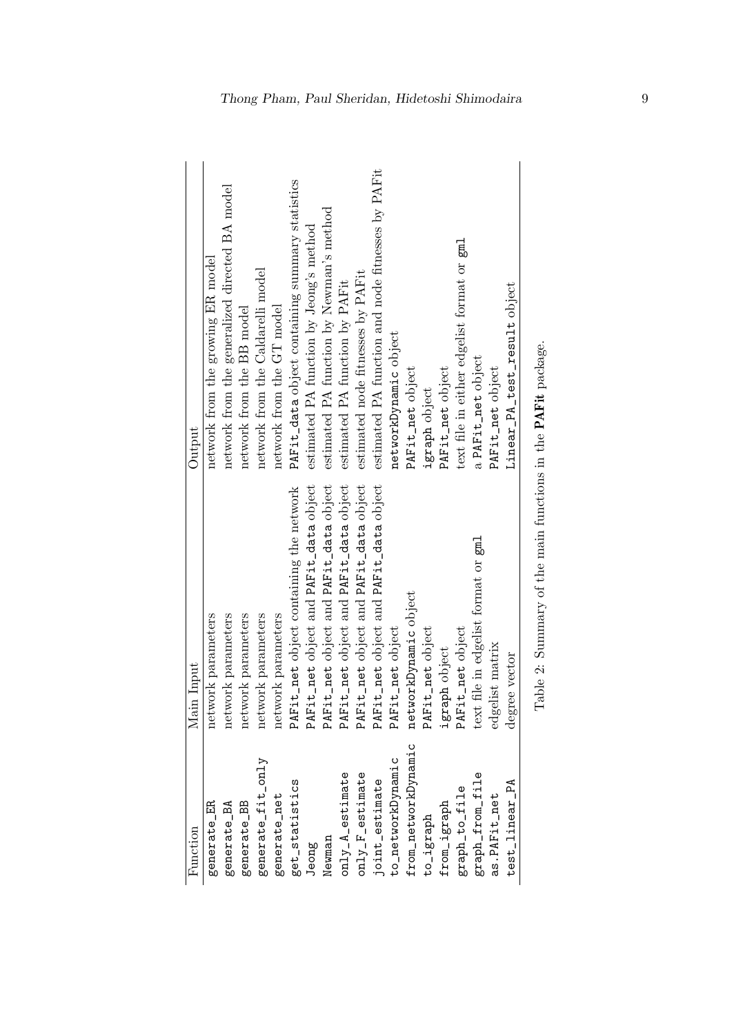<span id="page-8-0"></span>

| Function                              | Main Input                                                   | Output                                            |
|---------------------------------------|--------------------------------------------------------------|---------------------------------------------------|
| generate_ER                           | network parameters                                           | network from the growing ER model                 |
| generate_BA                           | network parameters                                           | network from the generalized directed BA model    |
| generate_BB                           | network parameters                                           | network from the BB model                         |
| generate_fit_only                     | network parameters                                           | network from the Caldarelli model                 |
| generate_net                          | network parameters                                           | network from the GT model                         |
| get_statistics                        | PAFit_net object containing the network                      | PAFit_data object containing summary statistics   |
| Jeong                                 | PAFit_net object and PAFit_data object                       | estimated PA function by Jeong's method           |
| Newman                                | PAFit_net object and PAFit_data object                       | estimated PA function by Newman's method          |
| $only_A_e$ estimate                   | PAFit_net object and PAFit_data object                       | estimated PA function by PAFit                    |
| $\texttt{only}$ $\texttt{F}$ estimate | PAFit_net object and PAFit_data object                       | estimated node fitnesses by PAFit                 |
| joint_estimate                        | PAFit_net object and PAFit_data object                       | estimated PA function and node fitnesses by PAFit |
| to_networkDynamic                     | PAFit_net object                                             | networkDynamic object                             |
| from_networkDynamic                   | networkDynamic object                                        | PAFit_net object                                  |
| to_igraph                             | PAFit_net object                                             | igraph object                                     |
| from_igraph                           | igraph object                                                | PAFit_net object                                  |
| graph_to_file                         | PAFit_net object                                             | text file in either edgelist format or gml        |
| graph_from_file                       | text file in edgelist format or gml                          | a PAFit_net object                                |
| as.PAFit_net                          | edgelist matrix                                              | PAFit_net object                                  |
| test_linear_PA                        | degree vector                                                | Linear_PA_test_result object                      |
|                                       | Table 2: Summary of the main functions in the PAFit package. |                                                   |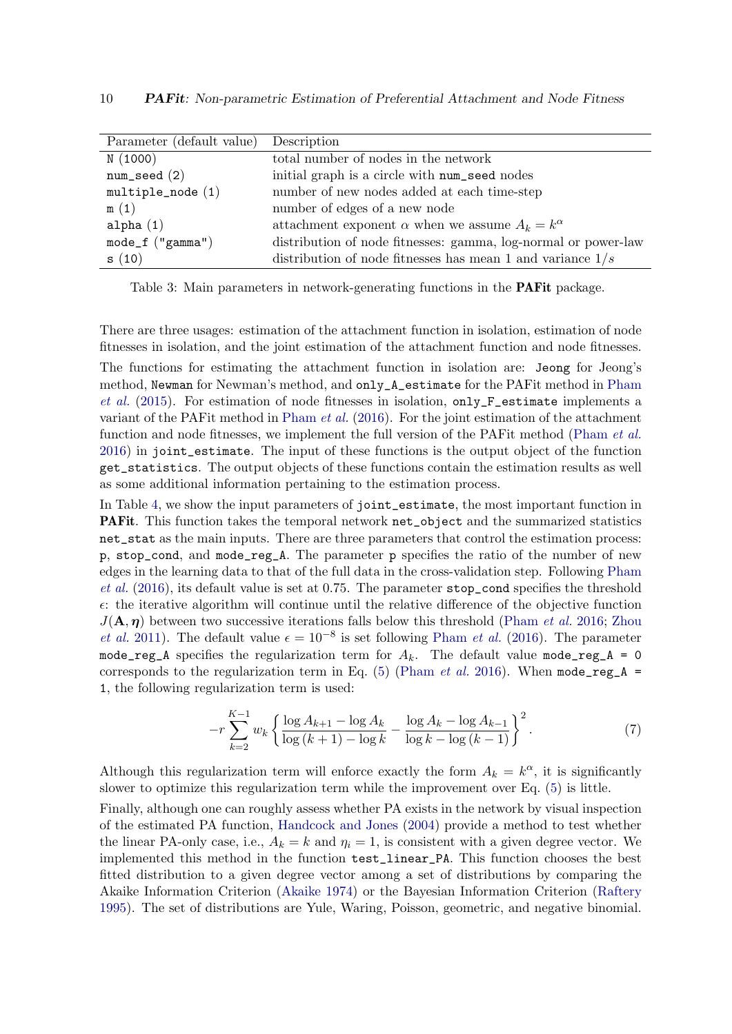<span id="page-9-0"></span>

| Parameter (default value) Description |                                                                |
|---------------------------------------|----------------------------------------------------------------|
| N(1000)                               | total number of nodes in the network                           |
| $num\_seed(2)$                        | initial graph is a circle with num_seed nodes                  |
| $multiple\_node(1)$                   | number of new nodes added at each time-step                    |
| m(1)                                  | number of edges of a new node                                  |
| alpha $(1)$                           | attachment exponent $\alpha$ when we assume $A_k = k^{\alpha}$ |
| $mode_f("gamma")$                     | distribution of node fitnesses: gamma, log-normal or power-law |
| s(10)                                 | distribution of node fitnesses has mean 1 and variance $1/s$   |

Table 3: Main parameters in network-generating functions in the PAFit package.

There are three usages: estimation of the attachment function in isolation, estimation of node fitnesses in isolation, and the joint estimation of the attachment function and node fitnesses.

The functions for estimating the attachment function in isolation are: Jeong for Jeong's method, Newman for Newman's method, and only\_A\_estimate for the PAFit method in [Pham](#page-27-7) [et al.](#page-27-7) [\(2015\)](#page-27-7). For estimation of node fitnesses in isolation,  $\text{only-F}_\text{estimate}$  implements a variant of the PAFit method in [Pham](#page-27-5) et al. [\(2016\)](#page-27-5). For the joint estimation of the attachment function and node fitnesses, we implement the full version of the PAF it method [\(Pham](#page-27-5) *et al.*) [2016\)](#page-27-5) in joint\_estimate. The input of these functions is the output object of the function get\_statistics. The output objects of these functions contain the estimation results as well as some additional information pertaining to the estimation process.

In Table [4,](#page-10-1) we show the input parameters of joint\_estimate, the most important function in PAFit. This function takes the temporal network net\_object and the summarized statistics net\_stat as the main inputs. There are three parameters that control the estimation process: p, stop\_cond, and mode\_reg\_A. The parameter p specifies the ratio of the number of new edges in the learning data to that of the full data in the cross-validation step. Following [Pham](#page-27-5) [et al.](#page-27-5)  $(2016)$ , its default value is set at 0.75. The parameter stop\_cond specifies the threshold  $\epsilon$ : the iterative algorithm will continue until the relative difference of the objective function  $J(\mathbf{A}, \boldsymbol{\eta})$  between two successive iterations falls below this threshold [\(Pham](#page-27-5) *et al.* [2016;](#page-27-5) [Zhou](#page-28-2) *[et al.](#page-28-2)* [2011\)](#page-28-2). The default value  $\epsilon = 10^{-8}$  is set following [Pham](#page-27-5) *et al.* [\(2016\)](#page-27-5). The parameter mode\_reg\_A specifies the regularization term for  $A_k$ . The default value mode\_reg\_A = 0 corresponds to the regularization term in Eq. [\(5\)](#page-5-3) [\(Pham](#page-27-5) *et al.* [2016\)](#page-27-5). When mode\_reg\_A = 1, the following regularization term is used:

$$
-r\sum_{k=2}^{K-1} w_k \left\{ \frac{\log A_{k+1} - \log A_k}{\log (k+1) - \log k} - \frac{\log A_k - \log A_{k-1}}{\log k - \log (k-1)} \right\}^2.
$$
 (7)

Although this regularization term will enforce exactly the form  $A_k = k^{\alpha}$ , it is significantly slower to optimize this regularization term while the improvement over Eq. [\(5\)](#page-5-3) is little.

Finally, although one can roughly assess whether PA exists in the network by visual inspection of the estimated PA function, [Handcock and Jones](#page-25-7) [\(2004\)](#page-25-7) provide a method to test whether the linear PA-only case, i.e.,  $A_k = k$  and  $\eta_i = 1$ , is consistent with a given degree vector. We implemented this method in the function test\_linear\_PA. This function chooses the best fitted distribution to a given degree vector among a set of distributions by comparing the Akaike Information Criterion [\(Akaike](#page-23-10) [1974\)](#page-23-10) or the Bayesian Information Criterion [\(Raftery](#page-27-10) [1995\)](#page-27-10). The set of distributions are Yule, Waring, Poisson, geometric, and negative binomial.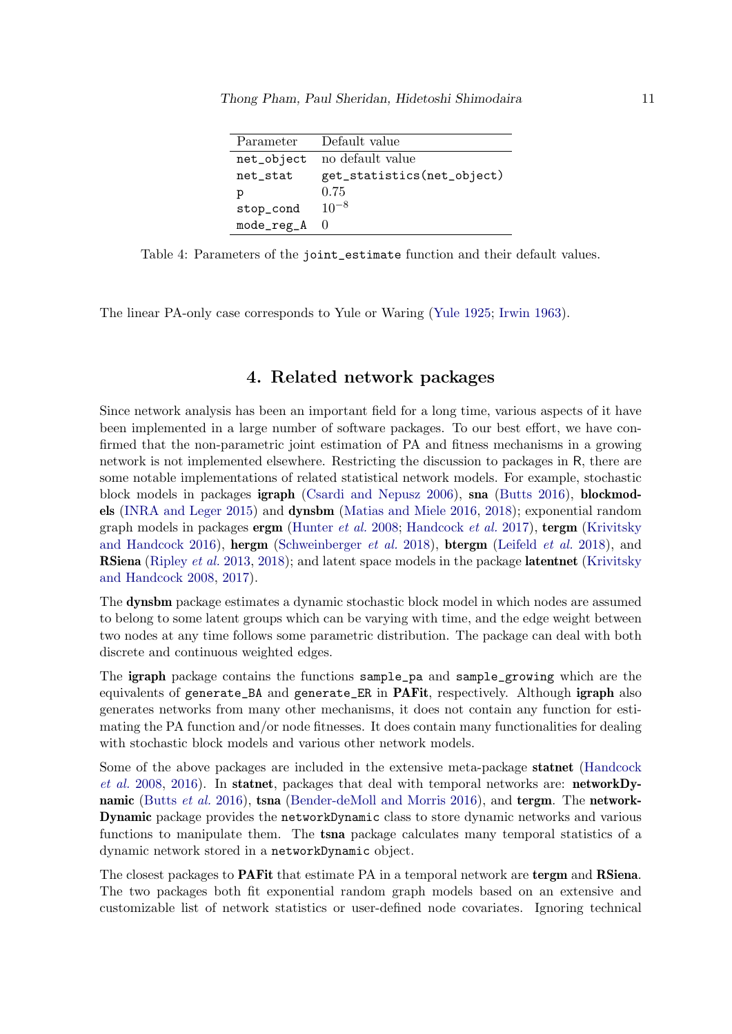| Parameter  | Default value              |
|------------|----------------------------|
| net_object | no default value           |
| net_stat   | get_statistics(net_object) |
| р          | 0.75                       |
| stop_cond  | $10^{-8}$                  |
| mode_reg_A | -0                         |

<span id="page-10-1"></span>Table 4: Parameters of the joint\_estimate function and their default values.

The linear PA-only case corresponds to Yule or Waring [\(Yule](#page-28-3) [1925;](#page-28-3) [Irwin](#page-25-8) [1963\)](#page-25-8).

# 4. Related network packages

<span id="page-10-0"></span>Since network analysis has been an important field for a long time, various aspects of it have been implemented in a large number of software packages. To our best effort, we have confirmed that the non-parametric joint estimation of PA and fitness mechanisms in a growing network is not implemented elsewhere. Restricting the discussion to packages in R, there are some notable implementations of related statistical network models. For example, stochastic block models in packages igraph [\(Csardi and Nepusz](#page-24-11) [2006\)](#page-24-11), sna [\(Butts](#page-23-11) [2016\)](#page-23-11), blockmodels [\(INRA and Leger](#page-25-9) [2015\)](#page-25-9) and dynsbm [\(Matias and Miele](#page-26-5) [2016,](#page-26-5) [2018\)](#page-26-10); exponential random graph models in packages  $\text{ergm}$  [\(Hunter](#page-25-10) *et al.* [2008;](#page-25-10) [Handcock](#page-24-12) *et al.* [2017\)](#page-24-12),  $\text{tergm}$  [\(Krivitsky](#page-25-0) [and Handcock](#page-25-0) [2016\)](#page-25-0), hergm [\(Schweinberger](#page-27-11) et al. [2018\)](#page-26-11), btergm [\(Leifeld](#page-26-11) et al. 2018), and **RSiena** [\(Ripley](#page-27-2) *et al.* [2013,](#page-27-2) [2018\)](#page-27-12); and latent space models in the package **latentnet** [\(Krivitsky](#page-25-11) [and Handcock](#page-25-11) [2008,](#page-25-11) [2017\)](#page-25-12).

The dynsbm package estimates a dynamic stochastic block model in which nodes are assumed to belong to some latent groups which can be varying with time, and the edge weight between two nodes at any time follows some parametric distribution. The package can deal with both discrete and continuous weighted edges.

The igraph package contains the functions sample\_pa and sample\_growing which are the equivalents of generate\_BA and generate\_ER in PAFit, respectively. Although igraph also generates networks from many other mechanisms, it does not contain any function for estimating the PA function and/or node fitnesses. It does contain many functionalities for dealing with stochastic block models and various other network models.

Some of the above packages are included in the extensive meta-package statnet [\(Handcock](#page-25-13) [et al.](#page-25-13) [2008,](#page-25-13) [2016\)](#page-24-13). In statnet, packages that deal with temporal networks are: networkDy-namic [\(Butts](#page-23-12) et al. [2016\)](#page-23-13), tsna [\(Bender-deMoll and Morris](#page-23-13) 2016), and tergm. The network-Dynamic package provides the networkDynamic class to store dynamic networks and various functions to manipulate them. The **tsna** package calculates many temporal statistics of a dynamic network stored in a networkDynamic object.

The closest packages to **PAF** it that estimate PA in a temporal network are tergined RSiena. The two packages both fit exponential random graph models based on an extensive and customizable list of network statistics or user-defined node covariates. Ignoring technical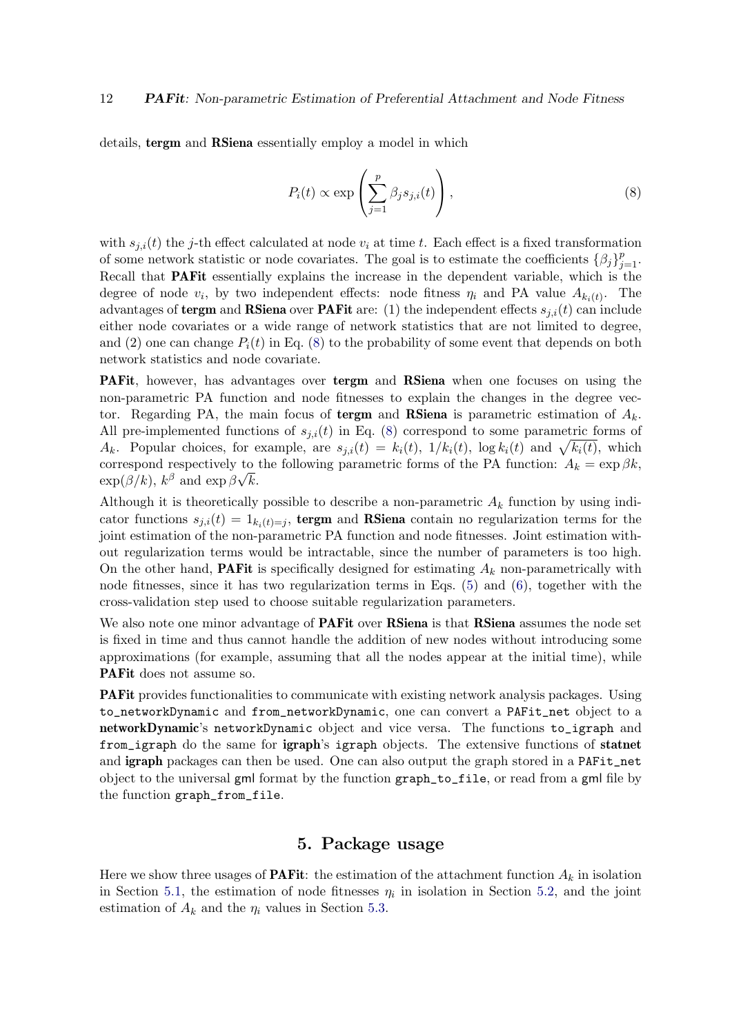details, tergm and RSiena essentially employ a model in which

<span id="page-11-1"></span>
$$
P_i(t) \propto \exp\left(\sum_{j=1}^p \beta_j s_{j,i}(t)\right),\tag{8}
$$

with  $s_{i,i}(t)$  the j-th effect calculated at node  $v_i$  at time t. Each effect is a fixed transformation of some network statistic or node covariates. The goal is to estimate the coefficients  $\{\beta_j\}_{j=1}^p$ . Recall that PAFit essentially explains the increase in the dependent variable, which is the degree of node  $v_i$ , by two independent effects: node fitness  $\eta_i$  and PA value  $A_{k_i(t)}$ . The advantages of **tergm** and **RSiena** over **PAFit** are: (1) the independent effects  $s_{j,i}(t)$  can include either node covariates or a wide range of network statistics that are not limited to degree, and (2) one can change  $P_i(t)$  in Eq. [\(8\)](#page-11-1) to the probability of some event that depends on both network statistics and node covariate.

PAFit, however, has advantages over tergm and RSiena when one focuses on using the non-parametric PA function and node fitnesses to explain the changes in the degree vector. Regarding PA, the main focus of **tergm** and **RSiena** is parametric estimation of  $A_k$ . All pre-implemented functions of  $s_{i,i}(t)$  in Eq. [\(8\)](#page-11-1) correspond to some parametric forms of  $A_k$ . Popular choices, for example, are  $s_{j,i}(t) = k_i(t)$ ,  $1/k_i(t)$ ,  $\log k_i(t)$  and  $\sqrt{k_i(t)}$ , which correspond respectively to the following parametric forms of the PA function:  $A_k = \exp \beta k$ ,  $\exp(\beta/k), k^{\beta}$  and  $\exp \beta \sqrt{k}$ .

Although it is theoretically possible to describe a non-parametric  $A_k$  function by using indicator functions  $s_{j,i}(t) = 1_{k_i(t)=j}$ , tergm and RSiena contain no regularization terms for the joint estimation of the non-parametric PA function and node fitnesses. Joint estimation without regularization terms would be intractable, since the number of parameters is too high. On the other hand, **PAFit** is specifically designed for estimating  $A_k$  non-parametrically with node fitnesses, since it has two regularization terms in Eqs. [\(5\)](#page-5-3) and [\(6\)](#page-6-1), together with the cross-validation step used to choose suitable regularization parameters.

We also note one minor advantage of **PAFit** over **RSiena** is that **RSiena** assumes the node set is fixed in time and thus cannot handle the addition of new nodes without introducing some approximations (for example, assuming that all the nodes appear at the initial time), while PAFit does not assume so.

PAFit provides functionalities to communicate with existing network analysis packages. Using to\_networkDynamic and from\_networkDynamic, one can convert a PAFit\_net object to a networkDynamic's networkDynamic object and vice versa. The functions to\_igraph and from\_igraph do the same for igraph's igraph objects. The extensive functions of statnet and igraph packages can then be used. One can also output the graph stored in a PAFit\_net object to the universal gml format by the function graph\_to\_file, or read from a gml file by the function graph\_from\_file.

### 5. Package usage

<span id="page-11-0"></span>Here we show three usages of **PAFit**: the estimation of the attachment function  $A_k$  in isolation in Section [5.1,](#page-12-0) the estimation of node fitnesses  $\eta_i$  in isolation in Section [5.2,](#page-14-0) and the joint estimation of  $A_k$  and the  $\eta_i$  values in Section [5.3.](#page-15-0)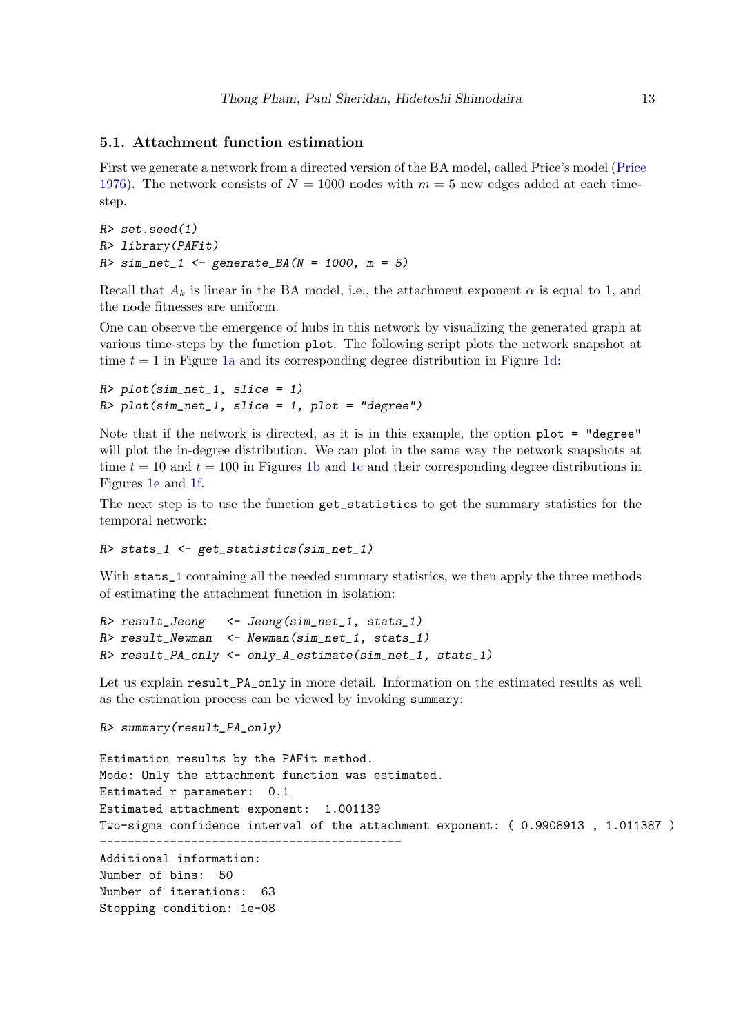#### <span id="page-12-0"></span>5.1. Attachment function estimation

First we generate a network from a directed version of the BA model, called Price's model [\(Price](#page-27-4) [1976\)](#page-27-4). The network consists of  $N = 1000$  nodes with  $m = 5$  new edges added at each timestep.

```
R> set.seed(1)
R> library(PAFit)
R > sim\_net\_1 <- generate_BA(N = 1000, m = 5)
```
Recall that  $A_k$  is linear in the BA model, i.e., the attachment exponent  $\alpha$  is equal to 1, and the node fitnesses are uniform.

One can observe the emergence of hubs in this network by visualizing the generated graph at various time-steps by the function plot. The following script plots the network snapshot at time  $t = 1$  in Figure [1a](#page-13-0) and its corresponding degree distribution in Figure [1d:](#page-13-0)

```
R> plot(sim_net_1, slice = 1)
R> plot(sim_net_1, slice = 1, plot = "degree")
```
Note that if the network is directed, as it is in this example, the option plot = "degree" will plot the in-degree distribution. We can plot in the same way the network snapshots at time  $t = 10$  and  $t = 100$  in Figures [1b](#page-13-0) and [1c](#page-13-0) and their corresponding degree distributions in Figures [1e](#page-13-0) and [1f.](#page-13-0)

The next step is to use the function get\_statistics to get the summary statistics for the temporal network:

#### R> stats\_1 <- get\_statistics(sim\_net\_1)

With stats\_1 containing all the needed summary statistics, we then apply the three methods of estimating the attachment function in isolation:

```
R> result_Jeong <- Jeong(sim_net_1, stats_1)
R> result_Newman <- Newman(sim_net_1, stats_1)
R> result_PA_only <- only_A_estimate(sim_net_1, stats_1)
```
Let us explain result\_PA\_only in more detail. Information on the estimated results as well as the estimation process can be viewed by invoking summary:

```
R> summary(result_PA_only)
```

```
Estimation results by the PAFit method.
Mode: Only the attachment function was estimated.
Estimated r parameter: 0.1
Estimated attachment exponent: 1.001139
Two-sigma confidence interval of the attachment exponent: ( 0.9908913 , 1.011387 )
-------------------------------------------
Additional information:
Number of bins: 50
Number of iterations: 63
Stopping condition: 1e-08
```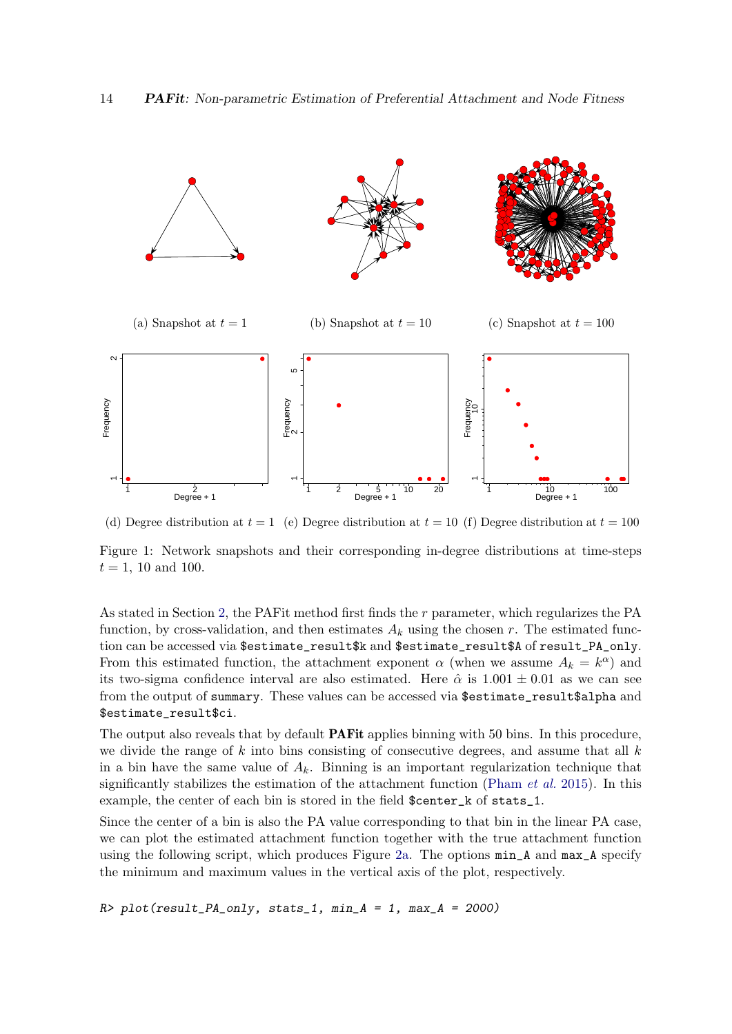<span id="page-13-0"></span>

(d) Degree distribution at  $t = 1$  (e) Degree distribution at  $t = 10$  (f) Degree distribution at  $t = 100$ Figure 1: Network snapshots and their corresponding in-degree distributions at time-steps

As stated in Section [2,](#page-3-0) the PAFit method first finds the r parameter, which regularizes the PA function, by cross-validation, and then estimates  $A_k$  using the chosen r. The estimated function can be accessed via \$estimate\_result\$k and \$estimate\_result\$A of result\_PA\_only. From this estimated function, the attachment exponent  $\alpha$  (when we assume  $A_k = k^{\alpha}$ ) and its two-sigma confidence interval are also estimated. Here  $\hat{\alpha}$  is 1.001  $\pm$  0.01 as we can see from the output of summary. These values can be accessed via \$estimate\_result\$alpha and \$estimate\_result\$ci.

The output also reveals that by default **PAF** it applies binning with 50 bins. In this procedure, we divide the range of k into bins consisting of consecutive degrees, and assume that all  $k$ in a bin have the same value of  $A_k$ . Binning is an important regularization technique that significantly stabilizes the estimation of the attachment function [\(Pham](#page-27-7) et al. [2015\)](#page-27-7). In this example, the center of each bin is stored in the field \$center\_k of stats\_1.

Since the center of a bin is also the PA value corresponding to that bin in the linear PA case, we can plot the estimated attachment function together with the true attachment function using the following script, which produces Figure [2a.](#page-14-1) The options min\_A and max\_A specify the minimum and maximum values in the vertical axis of the plot, respectively.

 $R$ > plot(result\_PA\_only, stats\_1, min\_A = 1, max\_A = 2000)

 $t = 1$ , 10 and 100.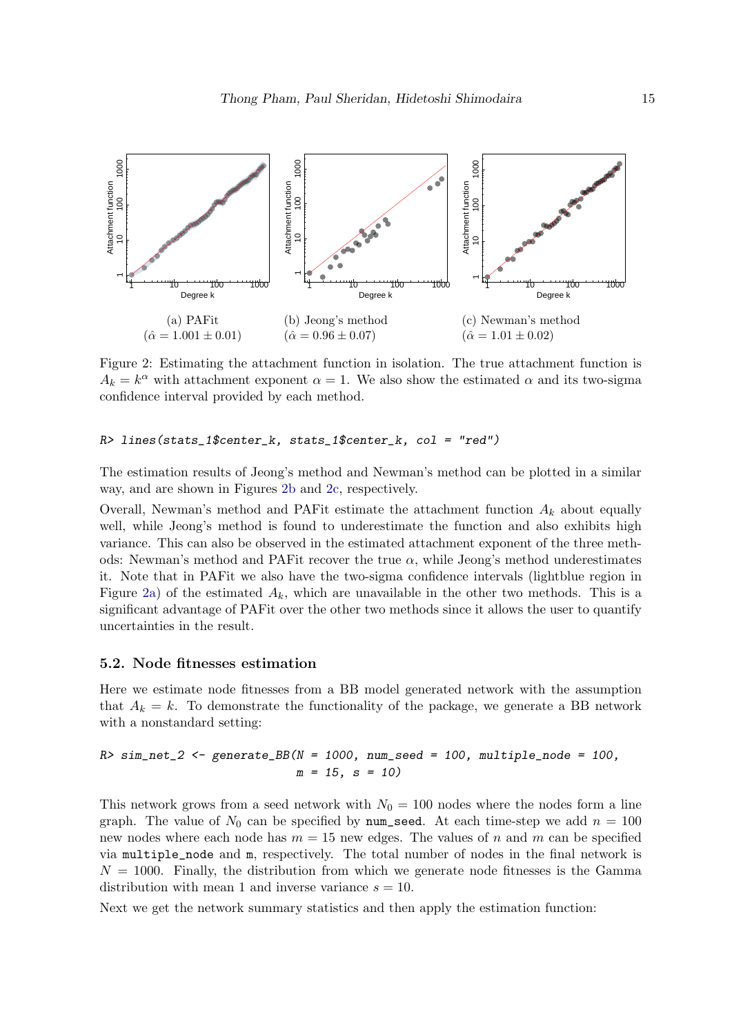<span id="page-14-1"></span>

Figure 2: Estimating the attachment function in isolation. The true attachment function is  $A_k = k^{\alpha}$  with attachment exponent  $\alpha = 1$ . We also show the estimated  $\alpha$  and its two-sigma confidence interval provided by each method.

#### R> lines(stats\_1\$center\_k, stats\_1\$center\_k, col = "red")

The estimation results of Jeong's method and Newman's method can be plotted in a similar way, and are shown in Figures [2b](#page-14-1) and [2c,](#page-14-1) respectively.

Overall, Newman's method and PAFit estimate the attachment function  $A_k$  about equally well, while Jeong's method is found to underestimate the function and also exhibits high variance. This can also be observed in the estimated attachment exponent of the three methods: Newman's method and PAF it recover the true  $\alpha$ , while Jeong's method underestimates it. Note that in PAFit we also have the two-sigma confidence intervals (lightblue region in Figure [2a\)](#page-14-1) of the estimated  $A_k$ , which are unavailable in the other two methods. This is a significant advantage of PAFit over the other two methods since it allows the user to quantify uncertainties in the result.

#### <span id="page-14-0"></span>5.2. Node fitnesses estimation

Here we estimate node fitnesses from a BB model generated network with the assumption that  $A_k = k$ . To demonstrate the functionality of the package, we generate a BB network with a nonstandard setting:

 $R> sim\_net\_2 \leq$  generate\_BB(N = 1000, num\_seed = 100, multiple\_node = 100,  $m = 15$ ,  $s = 10$ 

This network grows from a seed network with  $N_0 = 100$  nodes where the nodes form a line graph. The value of  $N_0$  can be specified by num seed. At each time-step we add  $n = 100$ new nodes where each node has  $m = 15$  new edges. The values of n and m can be specified via multiple\_node and m, respectively. The total number of nodes in the final network is  $N = 1000$ . Finally, the distribution from which we generate node fitnesses is the Gamma distribution with mean 1 and inverse variance  $s = 10$ .

Next we get the network summary statistics and then apply the estimation function: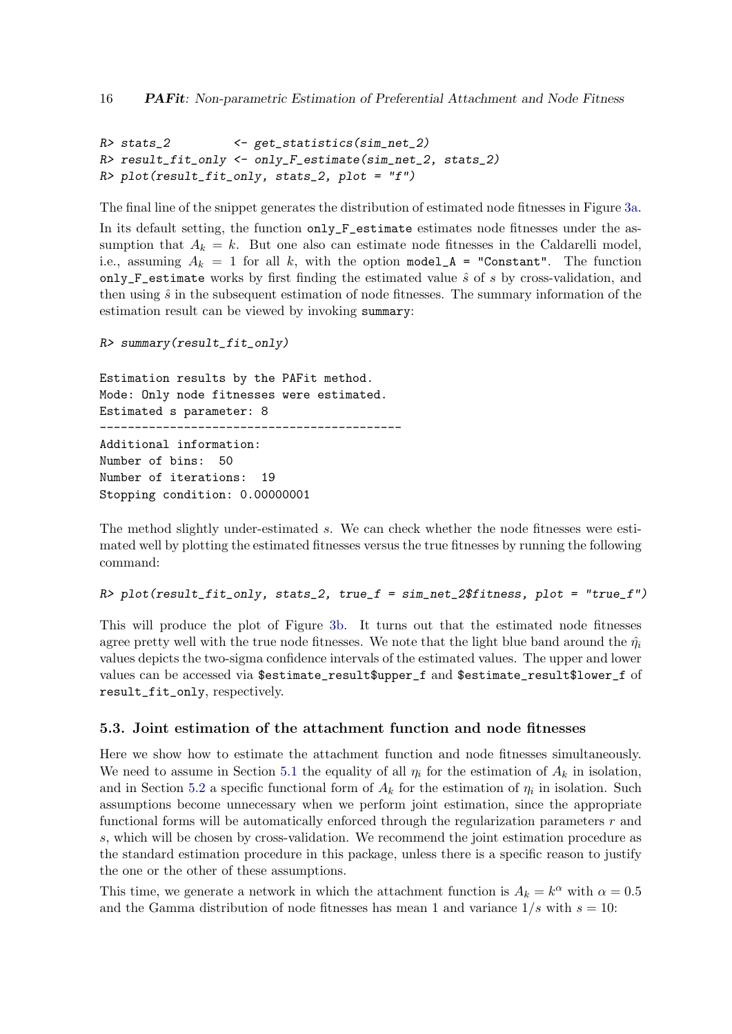```
R> stats 2 \leftarrow get statistics (sim net 2)
R> result_fit_only <- only_F_estimate(sim_net_2, stats_2)
R> plot(result_fit_only, stats_2, plot = "f")
```
The final line of the snippet generates the distribution of estimated node fitnesses in Figure [3a.](#page-16-0)

In its default setting, the function only\_F\_estimate estimates node fitnesses under the assumption that  $A_k = k$ . But one also can estimate node fitnesses in the Caldarelli model, i.e., assuming  $A_k = 1$  for all k, with the option model  $A =$  "Constant". The function only\_F\_estimate works by first finding the estimated value  $\hat{s}$  of s by cross-validation, and then using  $\hat{s}$  in the subsequent estimation of node fitnesses. The summary information of the estimation result can be viewed by invoking summary:

R> summary(result\_fit\_only)

Estimation results by the PAFit method. Mode: Only node fitnesses were estimated. Estimated s parameter: 8

-------------------------------------------

```
Additional information:
Number of bins: 50
Number of iterations: 19
Stopping condition: 0.00000001
```
The method slightly under-estimated s. We can check whether the node fitnesses were estimated well by plotting the estimated fitnesses versus the true fitnesses by running the following command:

R> plot(result\_fit\_only, stats\_2, true\_f = sim\_net\_2\$fitness, plot = "true\_f")

This will produce the plot of Figure [3b.](#page-16-0) It turns out that the estimated node fitnesses agree pretty well with the true node fitnesses. We note that the light blue band around the  $\hat{\eta}_i$ values depicts the two-sigma confidence intervals of the estimated values. The upper and lower values can be accessed via \$estimate\_result\$upper\_f and \$estimate\_result\$lower\_f of result\_fit\_only, respectively.

#### <span id="page-15-0"></span>5.3. Joint estimation of the attachment function and node fitnesses

Here we show how to estimate the attachment function and node fitnesses simultaneously. We need to assume in Section [5.1](#page-12-0) the equality of all  $\eta_i$  for the estimation of  $A_k$  in isolation, and in Section [5.2](#page-14-0) a specific functional form of  $A_k$  for the estimation of  $\eta_i$  in isolation. Such assumptions become unnecessary when we perform joint estimation, since the appropriate functional forms will be automatically enforced through the regularization parameters  $r$  and s, which will be chosen by cross-validation. We recommend the joint estimation procedure as the standard estimation procedure in this package, unless there is a specific reason to justify the one or the other of these assumptions.

This time, we generate a network in which the attachment function is  $A_k = k^{\alpha}$  with  $\alpha = 0.5$ and the Gamma distribution of node fitnesses has mean 1 and variance  $1/s$  with  $s = 10$ :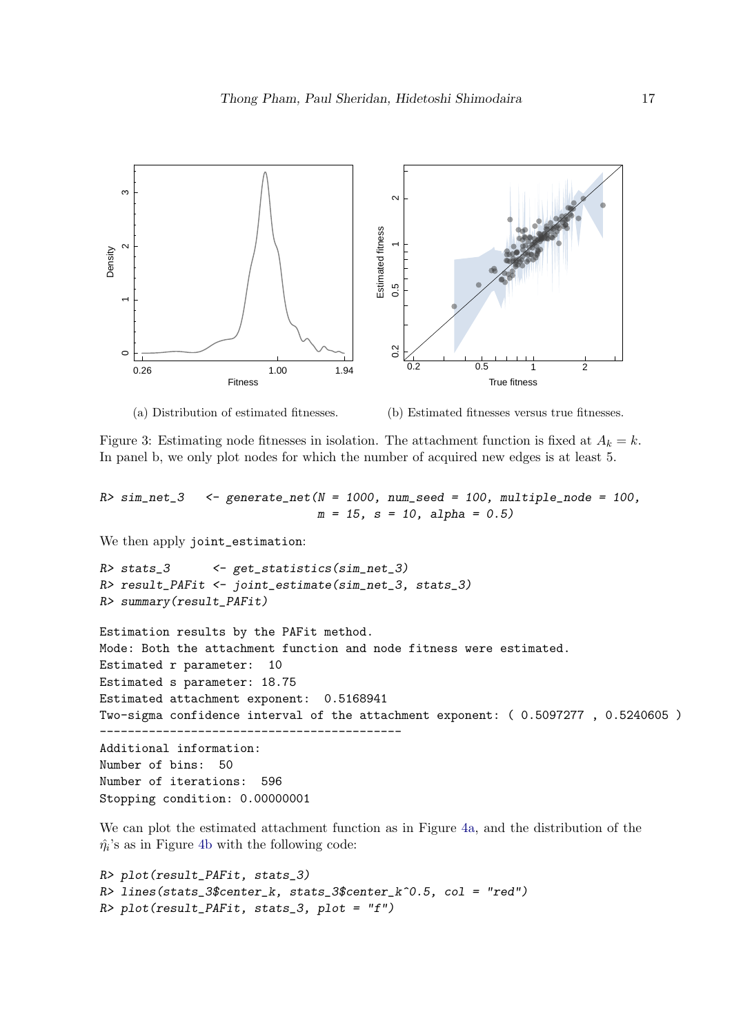<span id="page-16-0"></span>

(a) Distribution of estimated fitnesses.

(b) Estimated fitnesses versus true fitnesses.

Figure 3: Estimating node fitnesses in isolation. The attachment function is fixed at  $A_k = k$ . In panel b, we only plot nodes for which the number of acquired new edges is at least 5.

 $R> sim\_net\_3$  <- generate\_net(N = 1000, num\_seed = 100, multiple\_node = 100,  $m = 15$ ,  $s = 10$ , alpha = 0.5)

We then apply joint\_estimation:

```
R> stats_3 <- get_statistics(sim_net_3)
R> result_PAFit <- joint_estimate(sim_net_3, stats_3)
R> summary(result_PAFit)
Estimation results by the PAFit method.
Mode: Both the attachment function and node fitness were estimated.
Estimated r parameter: 10
Estimated s parameter: 18.75
Estimated attachment exponent: 0.5168941
Two-sigma confidence interval of the attachment exponent: ( 0.5097277 , 0.5240605 )
-------------------------------------------
Additional information:
Number of bins: 50
Number of iterations: 596
Stopping condition: 0.00000001
```

```
We can plot the estimated attachment function as in Figure 4a, and the distribution of the
\hat{\eta}_i4b with the following code:
```

```
R> plot(result_PAFit, stats_3)
R> lines(stats_3$center_k, stats_3$center_k^0.5, col = "red")
R> plot(result_PAFit, stats_3, plot = "f")
```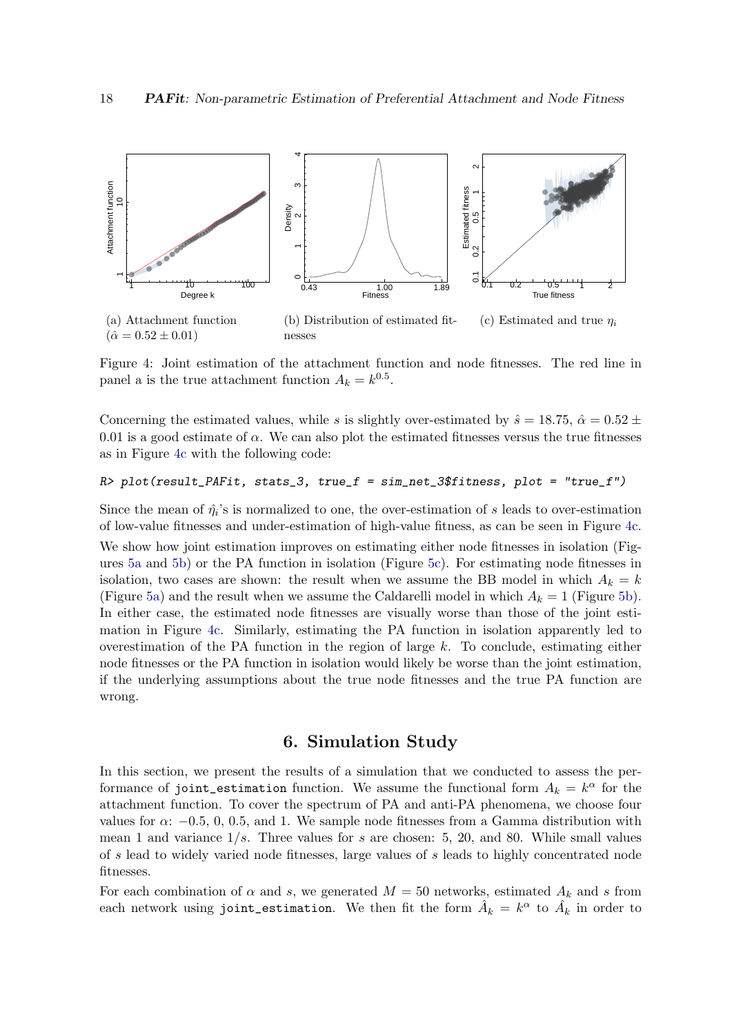<span id="page-17-1"></span>

Figure 4: Joint estimation of the attachment function and node fitnesses. The red line in panel a is the true attachment function  $A_k = k^{0.5}$ .

Concerning the estimated values, while s is slightly over-estimated by  $\hat{s} = 18.75$ ,  $\hat{\alpha} = 0.52 \pm 0.05$ 0.01 is a good estimate of  $\alpha$ . We can also plot the estimated fitnesses versus the true fitnesses as in Figure [4c](#page-17-1) with the following code:

### R> plot(result\_PAFit, stats\_3, true\_f = sim\_net\_3\$fitness, plot = "true\_f")

Since the mean of  $\hat{\eta}_i$ 's is normalized to one, the over-estimation of s leads to over-estimation of low-value fitnesses and under-estimation of high-value fitness, as can be seen in Figure [4c.](#page-17-1) We show how joint estimation improves on estimating either node fitnesses in isolation (Figures [5a](#page-18-1) and [5b\)](#page-18-1) or the PA function in isolation (Figure [5c\)](#page-18-1). For estimating node fitnesses in isolation, two cases are shown: the result when we assume the BB model in which  $A_k = k$ (Figure [5a\)](#page-18-1) and the result when we assume the Caldarelli model in which  $A_k = 1$  (Figure [5b\)](#page-18-1). In either case, the estimated node fitnesses are visually worse than those of the joint estimation in Figure [4c.](#page-17-1) Similarly, estimating the PA function in isolation apparently led to overestimation of the PA function in the region of large  $k$ . To conclude, estimating either node fitnesses or the PA function in isolation would likely be worse than the joint estimation, if the underlying assumptions about the true node fitnesses and the true PA function are wrong.

### 6. Simulation Study

<span id="page-17-0"></span>In this section, we present the results of a simulation that we conducted to assess the performance of joint\_estimation function. We assume the functional form  $A_k = k^{\alpha}$  for the attachment function. To cover the spectrum of PA and anti-PA phenomena, we choose four values for  $\alpha$ : −0.5, 0, 0.5, and 1. We sample node fitnesses from a Gamma distribution with mean 1 and variance  $1/s$ . Three values for s are chosen: 5, 20, and 80. While small values of s lead to widely varied node fitnesses, large values of s leads to highly concentrated node fitnesses.

For each combination of  $\alpha$  and s, we generated  $M = 50$  networks, estimated  $A_k$  and s from each network using joint\_estimation. We then fit the form  $\hat{A}_k\,=\,k^\alpha$  to  $\hat{A}_k$  in order to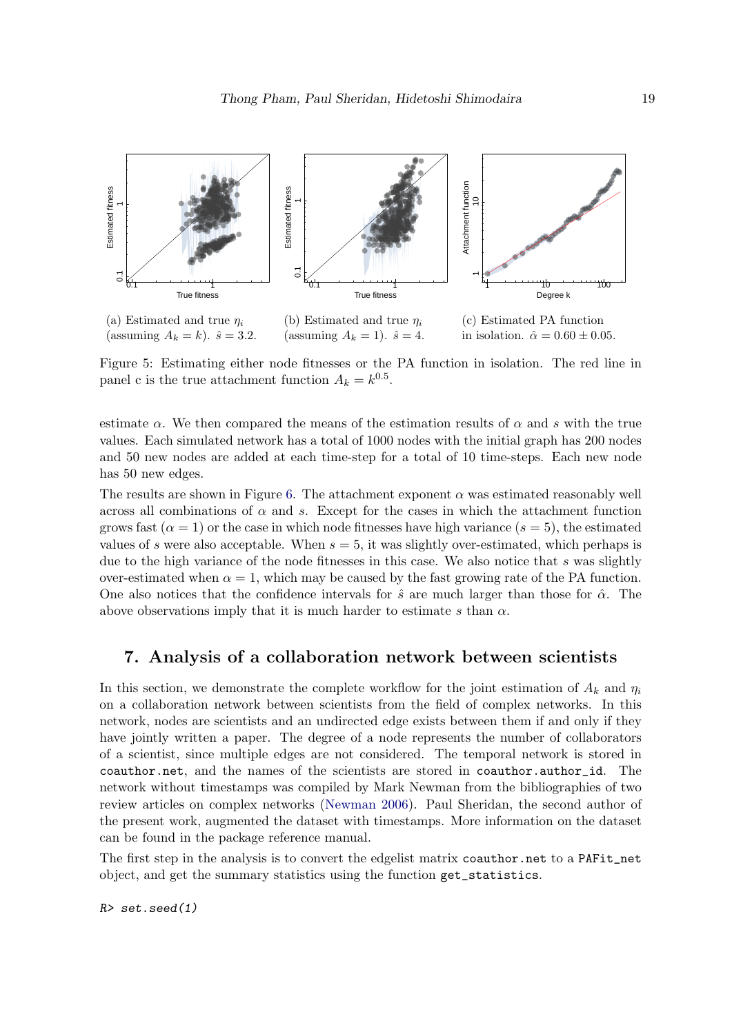<span id="page-18-1"></span>

(assuming  $A_k = k$ ).  $\hat{s} = 3.2$ . (assuming  $A_k = 1$ ).  $\hat{s} = 4$ .

(c) Estimated PA function in isolation.  $\hat{\alpha} = 0.60 \pm 0.05$ .

Figure 5: Estimating either node fitnesses or the PA function in isolation. The red line in panel c is the true attachment function  $A_k = k^{0.5}$ .

estimate  $\alpha$ . We then compared the means of the estimation results of  $\alpha$  and s with the true values. Each simulated network has a total of 1000 nodes with the initial graph has 200 nodes and 50 new nodes are added at each time-step for a total of 10 time-steps. Each new node has 50 new edges.

The results are shown in Figure [6.](#page-19-0) The attachment exponent  $\alpha$  was estimated reasonably well across all combinations of  $\alpha$  and s. Except for the cases in which the attachment function grows fast  $(\alpha = 1)$  or the case in which node fitnesses have high variance  $(s = 5)$ , the estimated values of s were also acceptable. When  $s = 5$ , it was slightly over-estimated, which perhaps is due to the high variance of the node fitnesses in this case. We also notice that s was slightly over-estimated when  $\alpha = 1$ , which may be caused by the fast growing rate of the PA function. One also notices that the confidence intervals for  $\hat{s}$  are much larger than those for  $\hat{\alpha}$ . The above observations imply that it is much harder to estimate s than  $\alpha$ .

# <span id="page-18-0"></span>7. Analysis of a collaboration network between scientists

In this section, we demonstrate the complete workflow for the joint estimation of  $A_k$  and  $\eta_i$ on a collaboration network between scientists from the field of complex networks. In this network, nodes are scientists and an undirected edge exists between them if and only if they have jointly written a paper. The degree of a node represents the number of collaborators of a scientist, since multiple edges are not considered. The temporal network is stored in coauthor.net, and the names of the scientists are stored in coauthor.author\_id. The network without timestamps was compiled by Mark Newman from the bibliographies of two review articles on complex networks [\(Newman](#page-26-12) [2006\)](#page-26-12). Paul Sheridan, the second author of the present work, augmented the dataset with timestamps. More information on the dataset can be found in the package reference manual.

The first step in the analysis is to convert the edgelist matrix coauthor.net to a PAFit\_net object, and get the summary statistics using the function get\_statistics.

 $R$ > set.seed(1)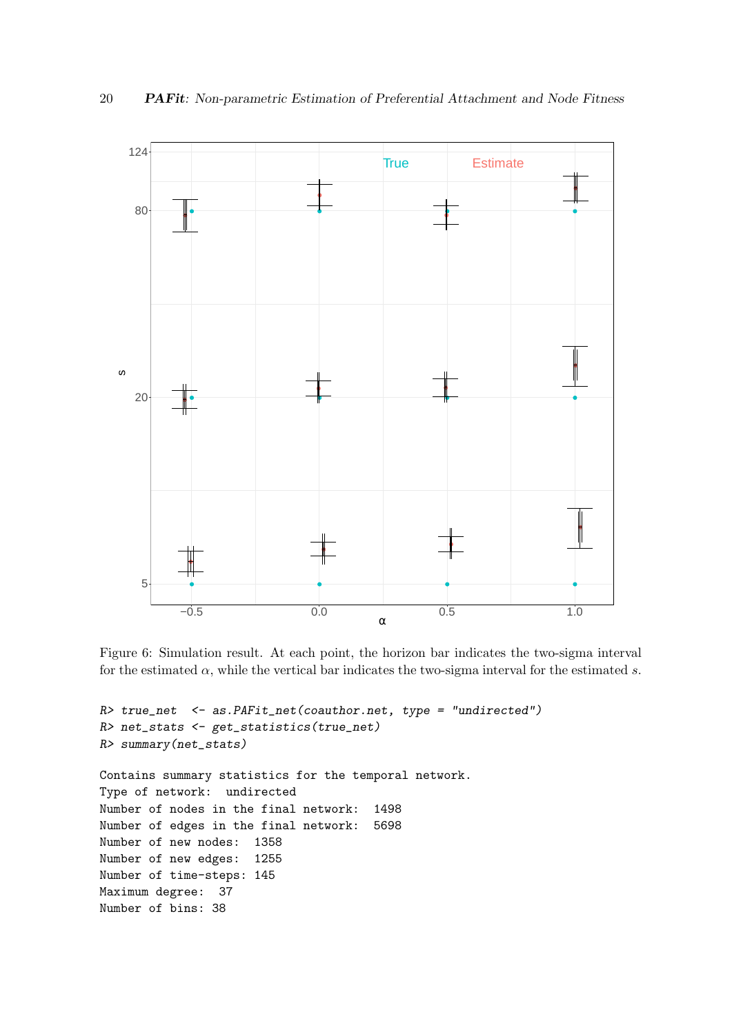<span id="page-19-0"></span>

Figure 6: Simulation result. At each point, the horizon bar indicates the two-sigma interval for the estimated  $\alpha$ , while the vertical bar indicates the two-sigma interval for the estimated s.

```
R> true_net <- as.PAFit_net(coauthor.net, type = "undirected")
R> net_stats <- get_statistics(true_net)
R> summary(net_stats)
Contains summary statistics for the temporal network.
Type of network: undirected
Number of nodes in the final network: 1498
Number of edges in the final network: 5698
Number of new nodes: 1358
Number of new edges: 1255
Number of time-steps: 145
Maximum degree: 37
Number of bins: 38
```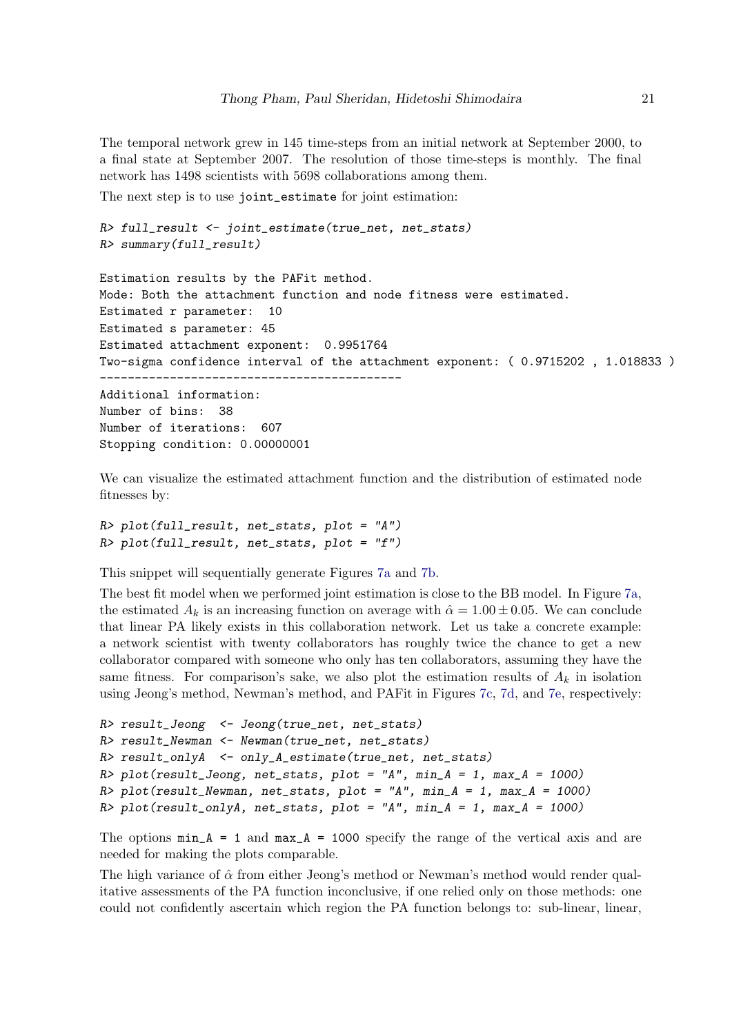The temporal network grew in 145 time-steps from an initial network at September 2000, to a final state at September 2007. The resolution of those time-steps is monthly. The final network has 1498 scientists with 5698 collaborations among them.

The next step is to use joint\_estimate for joint estimation:

```
R> full_result <- joint_estimate(true_net, net_stats)
R> summary(full_result)
```

```
Estimation results by the PAFit method.
Mode: Both the attachment function and node fitness were estimated.
Estimated r parameter: 10
Estimated s parameter: 45
Estimated attachment exponent: 0.9951764
Two-sigma confidence interval of the attachment exponent: ( 0.9715202 , 1.018833 )
-------------------------------------------
Additional information:
```

```
Number of bins: 38
Number of iterations: 607
Stopping condition: 0.00000001
```
We can visualize the estimated attachment function and the distribution of estimated node fitnesses by:

```
R> plot(full_result, net_stats, plot = "A")
R> plot(full_result, net_stats, plot = "f")
```
This snippet will sequentially generate Figures [7a](#page-21-0) and [7b.](#page-21-0)

The best fit model when we performed joint estimation is close to the BB model. In Figure [7a,](#page-21-0) the estimated  $A_k$  is an increasing function on average with  $\hat{\alpha} = 1.00 \pm 0.05$ . We can conclude that linear PA likely exists in this collaboration network. Let us take a concrete example: a network scientist with twenty collaborators has roughly twice the chance to get a new collaborator compared with someone who only has ten collaborators, assuming they have the same fitness. For comparison's sake, we also plot the estimation results of  $A_k$  in isolation using Jeong's method, Newman's method, and PAFit in Figures [7c,](#page-21-0) [7d,](#page-21-0) and [7e,](#page-21-0) respectively:

```
R> result_Jeong <- Jeong(true_net, net_stats)
R> result_Newman <- Newman(true_net, net_stats)
R> result_onlyA <- only_A_estimate(true_net, net_stats)
R> plot(result_Jeong, net_stats, plot = "A", min_A = 1, max_A = 1000)
R> plot(result_Newman, net_stats, plot = "A", min_A = 1, max_A = 1000)
R> plot(result_onlyA, net_stats, plot = "A", min_A = 1, max_A = 1000)
```
The options  $min_A = 1$  and  $max_A = 1000$  specify the range of the vertical axis and are needed for making the plots comparable.

The high variance of  $\hat{\alpha}$  from either Jeong's method or Newman's method would render qualitative assessments of the PA function inconclusive, if one relied only on those methods: one could not confidently ascertain which region the PA function belongs to: sub-linear, linear,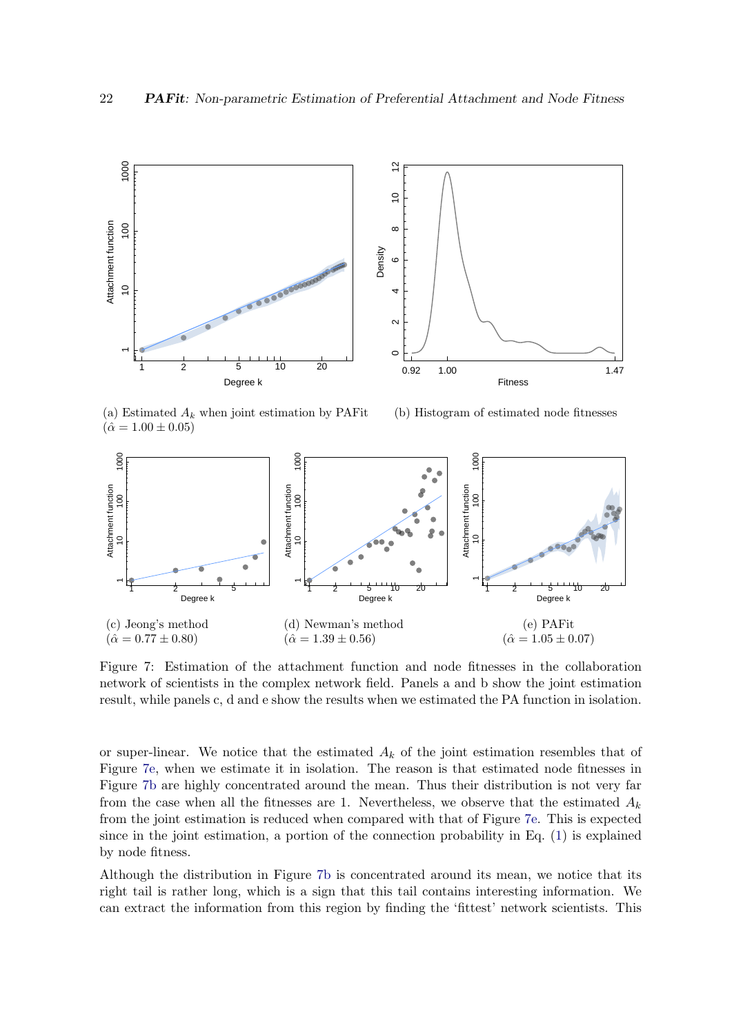<span id="page-21-0"></span>

(a) Estimated  $A_k$  when joint estimation by PAFit  $(\hat{\alpha} = 1.00 \pm 0.05)$ 

(b) Histogram of estimated node fitnesses



Figure 7: Estimation of the attachment function and node fitnesses in the collaboration network of scientists in the complex network field. Panels a and b show the joint estimation result, while panels c, d and e show the results when we estimated the PA function in isolation.

or super-linear. We notice that the estimated  $A_k$  of the joint estimation resembles that of Figure [7e,](#page-21-0) when we estimate it in isolation. The reason is that estimated node fitnesses in Figure [7b](#page-21-0) are highly concentrated around the mean. Thus their distribution is not very far from the case when all the fitnesses are 1. Nevertheless, we observe that the estimated  $A_k$ from the joint estimation is reduced when compared with that of Figure [7e.](#page-21-0) This is expected since in the joint estimation, a portion of the connection probability in Eq. [\(1\)](#page-2-0) is explained by node fitness.

Although the distribution in Figure [7b](#page-21-0) is concentrated around its mean, we notice that its right tail is rather long, which is a sign that this tail contains interesting information. We can extract the information from this region by finding the 'fittest' network scientists. This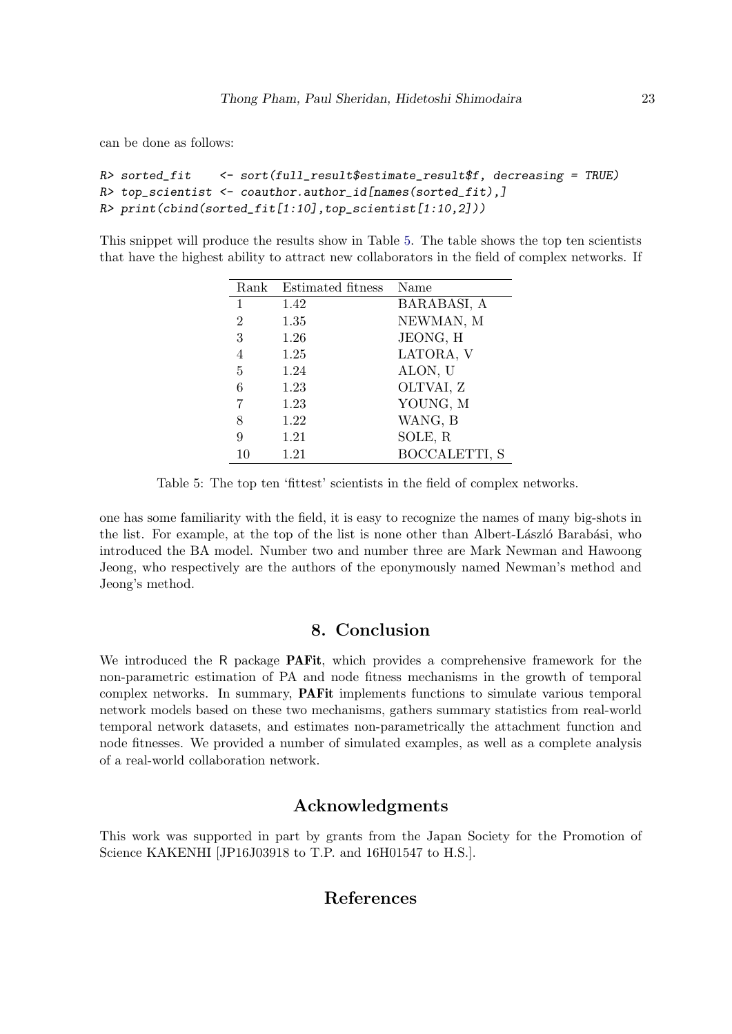can be done as follows:

```
R> sorted_fit <- sort(full_result$estimate_result$f, decreasing = TRUE)
R> top_scientist <- coauthor.author_id[names(sorted_fit),]
R> print(cbind(sorted_fit[1:10],top_scientist[1:10,2]))
```
<span id="page-22-1"></span>This snippet will produce the results show in Table [5.](#page-22-1) The table shows the top ten scientists that have the highest ability to attract new collaborators in the field of complex networks. If

| Rank           | Estimated fitness | Name          |
|----------------|-------------------|---------------|
| 1              | 1.42              | BARABASI, A   |
| $\overline{2}$ | 1.35              | NEWMAN, M     |
| 3              | 1.26              | JEONG, H      |
| 4              | 1.25              | LATORA, V     |
| 5              | 1.24              | ALON, U       |
| 6              | 1.23              | OLTVAI, Z     |
| 7              | 1.23              | YOUNG, M      |
| 8              | 1.22              | WANG, B       |
| 9              | 1.21              | SOLE, R       |
| 10             | 1.21              | BOCCALETTI, S |

Table 5: The top ten 'fittest' scientists in the field of complex networks.

one has some familiarity with the field, it is easy to recognize the names of many big-shots in the list. For example, at the top of the list is none other than Albert-László Barabási, who introduced the BA model. Number two and number three are Mark Newman and Hawoong Jeong, who respectively are the authors of the eponymously named Newman's method and Jeong's method.

### 8. Conclusion

<span id="page-22-0"></span>We introduced the R package **PAFit**, which provides a comprehensive framework for the non-parametric estimation of PA and node fitness mechanisms in the growth of temporal complex networks. In summary, PAFit implements functions to simulate various temporal network models based on these two mechanisms, gathers summary statistics from real-world temporal network datasets, and estimates non-parametrically the attachment function and node fitnesses. We provided a number of simulated examples, as well as a complete analysis of a real-world collaboration network.

# Acknowledgments

This work was supported in part by grants from the Japan Society for the Promotion of Science KAKENHI [JP16J03918 to T.P. and 16H01547 to H.S.].

# References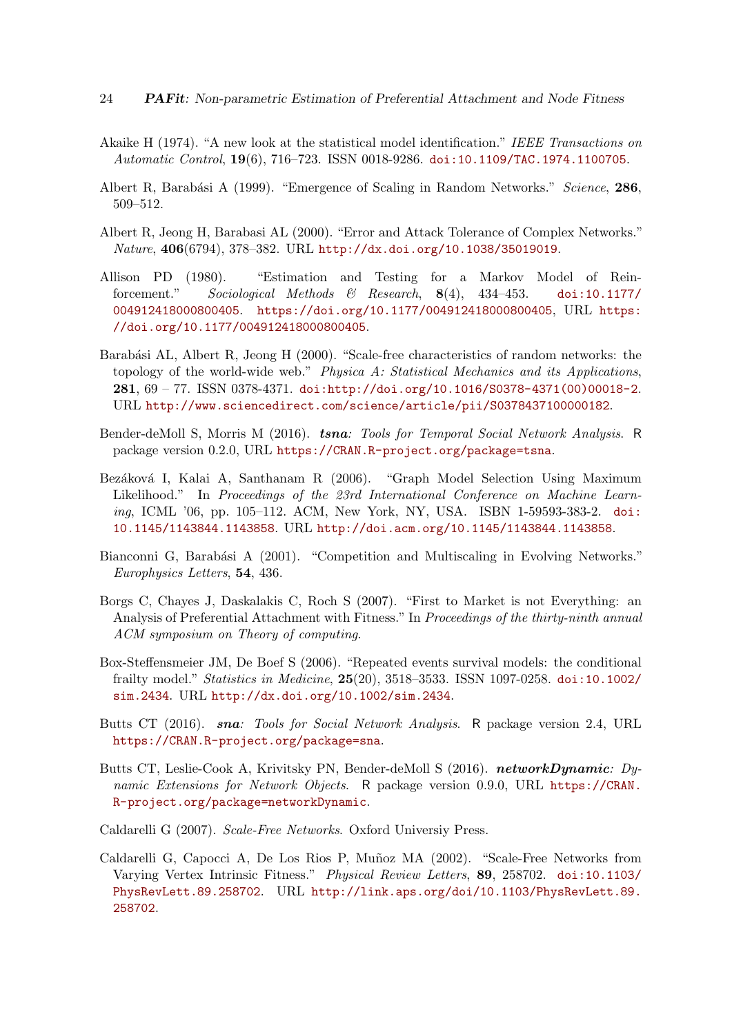- <span id="page-23-10"></span>Akaike H (1974). "A new look at the statistical model identification." IEEE Transactions on Automatic Control, 19(6), 716–723. ISSN 0018-9286. [doi:10.1109/TAC.1974.1100705](http://dx.doi.org/10.1109/TAC.1974.1100705).
- <span id="page-23-3"></span>Albert R, Barabási A (1999). "Emergence of Scaling in Random Networks." Science, 286, 509–512.
- <span id="page-23-2"></span>Albert R, Jeong H, Barabasi AL (2000). "Error and Attack Tolerance of Complex Networks." Nature, 406(6794), 378–382. URL <http://dx.doi.org/10.1038/35019019>.
- <span id="page-23-8"></span>Allison PD (1980). "Estimation and Testing for a Markov Model of Reinforcement." Sociological Methods & Research, 8(4), 434–453. [doi:10.1177/](http://dx.doi.org/10.1177/004912418000800405) [004912418000800405](http://dx.doi.org/10.1177/004912418000800405). <https://doi.org/10.1177/004912418000800405>, URL [https:](https://doi.org/10.1177/004912418000800405) [//doi.org/10.1177/004912418000800405](https://doi.org/10.1177/004912418000800405).
- <span id="page-23-1"></span>Barabási AL, Albert R, Jeong H (2000). "Scale-free characteristics of random networks: the topology of the world-wide web." Physica A: Statistical Mechanics and its Applications, 281, 69 – 77. ISSN 0378-4371. [doi:http://doi.org/10.1016/S0378-4371\(00\)00018-2](http://dx.doi.org/http://doi.org/10.1016/S0378-4371(00)00018-2). URL <http://www.sciencedirect.com/science/article/pii/S0378437100000182>.
- <span id="page-23-13"></span>Bender-deMoll S, Morris M (2016). tsna: Tools for Temporal Social Network Analysis. R package version 0.2.0, URL <https://CRAN.R-project.org/package=tsna>.
- <span id="page-23-7"></span>Bezáková I, Kalai A, Santhanam R (2006). "Graph Model Selection Using Maximum Likelihood." In Proceedings of the 23rd International Conference on Machine Learning, ICML '06, pp. 105–112. ACM, New York, NY, USA. ISBN 1-59593-383-2. [doi:](http://dx.doi.org/10.1145/1143844.1143858) [10.1145/1143844.1143858](http://dx.doi.org/10.1145/1143844.1143858). URL <http://doi.acm.org/10.1145/1143844.1143858>.
- <span id="page-23-4"></span>Bianconni G, Barabási A (2001). "Competition and Multiscaling in Evolving Networks." Europhysics Letters, 54, 436.
- <span id="page-23-6"></span>Borgs C, Chayes J, Daskalakis C, Roch S (2007). "First to Market is not Everything: an Analysis of Preferential Attachment with Fitness." In Proceedings of the thirty-ninth annual ACM symposium on Theory of computing.
- <span id="page-23-9"></span>Box-Steffensmeier JM, De Boef S (2006). "Repeated events survival models: the conditional frailty model." Statistics in Medicine, 25(20), 3518–3533. ISSN 1097-0258. [doi:10.1002/](http://dx.doi.org/10.1002/sim.2434) [sim.2434](http://dx.doi.org/10.1002/sim.2434). URL <http://dx.doi.org/10.1002/sim.2434>.
- <span id="page-23-11"></span>Butts CT (2016). sna: Tools for Social Network Analysis. R package version 2.4, URL <https://CRAN.R-project.org/package=sna>.
- <span id="page-23-12"></span>Butts CT, Leslie-Cook A, Krivitsky PN, Bender-deMoll S (2016). networkDynamic: Dynamic Extensions for Network Objects. R package version 0.9.0, URL [https://CRAN.](https://CRAN.R-project.org/package=networkDynamic) [R-project.org/package=networkDynamic](https://CRAN.R-project.org/package=networkDynamic).
- <span id="page-23-0"></span>Caldarelli G (2007). Scale-Free Networks. Oxford Universiy Press.
- <span id="page-23-5"></span>Caldarelli G, Capocci A, De Los Rios P, Muñoz MA (2002). "Scale-Free Networks from Varying Vertex Intrinsic Fitness." Physical Review Letters, 89, 258702. [doi:10.1103/](http://dx.doi.org/10.1103/PhysRevLett.89.258702) [PhysRevLett.89.258702](http://dx.doi.org/10.1103/PhysRevLett.89.258702). URL [http://link.aps.org/doi/10.1103/PhysRevLett.89.](http://link.aps.org/doi/10.1103/PhysRevLett.89.258702) [258702](http://link.aps.org/doi/10.1103/PhysRevLett.89.258702).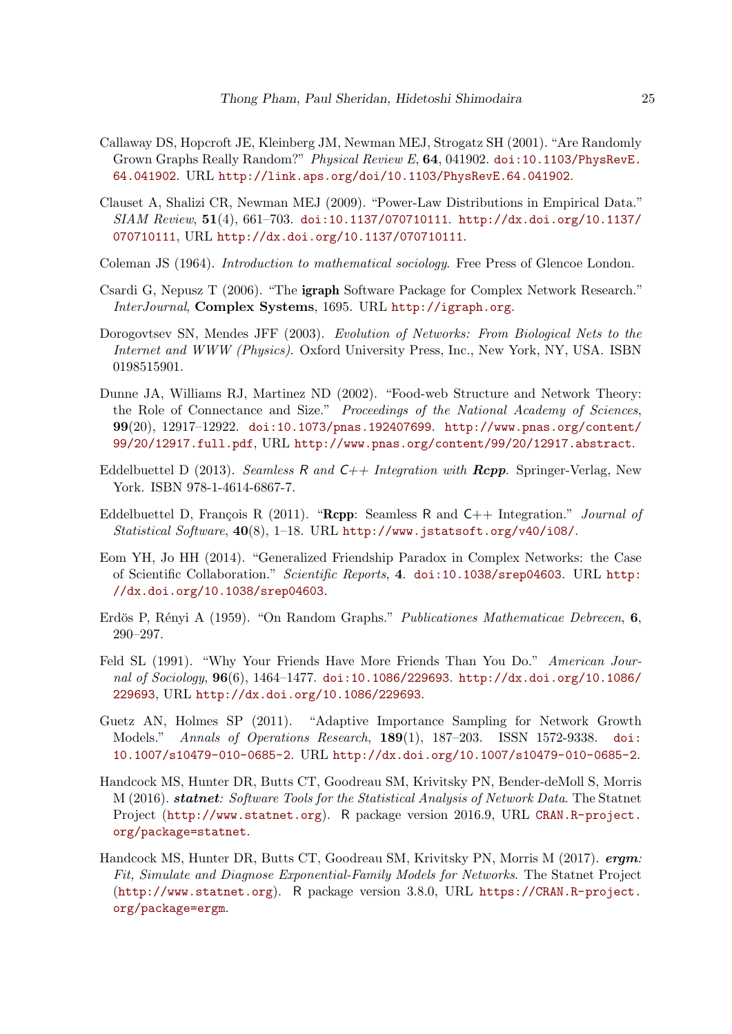- <span id="page-24-8"></span>Callaway DS, Hopcroft JE, Kleinberg JM, Newman MEJ, Strogatz SH (2001). "Are Randomly Grown Graphs Really Random?" Physical Review E, 64, 041902. [doi:10.1103/PhysRevE.](http://dx.doi.org/10.1103/PhysRevE.64.041902) [64.041902](http://dx.doi.org/10.1103/PhysRevE.64.041902). URL <http://link.aps.org/doi/10.1103/PhysRevE.64.041902>.
- <span id="page-24-2"></span>Clauset A, Shalizi CR, Newman MEJ (2009). "Power-Law Distributions in Empirical Data." SIAM Review, 51(4), 661–703. [doi:10.1137/070710111](http://dx.doi.org/10.1137/070710111). [http://dx.doi.org/10.1137/](http://dx.doi.org/10.1137/070710111) [070710111](http://dx.doi.org/10.1137/070710111), URL <http://dx.doi.org/10.1137/070710111>.
- <span id="page-24-7"></span>Coleman JS (1964). Introduction to mathematical sociology. Free Press of Glencoe London.
- <span id="page-24-11"></span>Csardi G, Nepusz T (2006). "The igraph Software Package for Complex Network Research." InterJournal, Complex Systems, 1695. URL <http://igraph.org>.
- <span id="page-24-0"></span>Dorogovtsev SN, Mendes JFF (2003). Evolution of Networks: From Biological Nets to the Internet and WWW (Physics). Oxford University Press, Inc., New York, NY, USA. ISBN 0198515901.
- <span id="page-24-1"></span>Dunne JA, Williams RJ, Martinez ND (2002). "Food-web Structure and Network Theory: the Role of Connectance and Size." Proceedings of the National Academy of Sciences, 99(20), 12917–12922. [doi:10.1073/pnas.192407699](http://dx.doi.org/10.1073/pnas.192407699). [http://www.pnas.org/content/](http://www.pnas.org/content/99/20/12917.full.pdf) [99/20/12917.full.pdf](http://www.pnas.org/content/99/20/12917.full.pdf), URL <http://www.pnas.org/content/99/20/12917.abstract>.
- <span id="page-24-10"></span>Eddelbuettel D (2013). Seamless R and  $C++$  Integration with  $Rcpp$ . Springer-Verlag, New York. ISBN 978-1-4614-6867-7.
- <span id="page-24-9"></span>Eddelbuettel D, François R (2011). "Rcpp: Seamless R and  $C_{++}$  Integration." *Journal of* Statistical Software, 40(8), 1–18. URL <http://www.jstatsoft.org/v40/i08/>.
- <span id="page-24-5"></span>Eom YH, Jo HH (2014). "Generalized Friendship Paradox in Complex Networks: the Case of Scientific Collaboration." Scientific Reports, 4. [doi:10.1038/srep04603](http://dx.doi.org/10.1038/srep04603). URL [http:](http://dx.doi.org/10.1038/srep04603) [//dx.doi.org/10.1038/srep04603](http://dx.doi.org/10.1038/srep04603).
- <span id="page-24-3"></span>Erdös P, Rényi A (1959). "On Random Graphs." Publicationes Mathematicae Debrecen, 6, 290–297.
- <span id="page-24-4"></span>Feld SL (1991). "Why Your Friends Have More Friends Than You Do." American Journal of Sociology, 96(6), 1464–1477. [doi:10.1086/229693](http://dx.doi.org/10.1086/229693). [http://dx.doi.org/10.1086/](http://dx.doi.org/10.1086/229693) [229693](http://dx.doi.org/10.1086/229693), URL <http://dx.doi.org/10.1086/229693>.
- <span id="page-24-6"></span>Guetz AN, Holmes SP (2011). "Adaptive Importance Sampling for Network Growth Models." Annals of Operations Research, 189(1), 187–203. ISSN 1572-9338. [doi:](http://dx.doi.org/10.1007/s10479-010-0685-2) [10.1007/s10479-010-0685-2](http://dx.doi.org/10.1007/s10479-010-0685-2). URL <http://dx.doi.org/10.1007/s10479-010-0685-2>.
- <span id="page-24-13"></span>Handcock MS, Hunter DR, Butts CT, Goodreau SM, Krivitsky PN, Bender-deMoll S, Morris M (2016). statnet: Software Tools for the Statistical Analysis of Network Data. The Statnet Project (<http://www.statnet.org>). R package version 2016.9, URL [CRAN.R-project.](CRAN.R-project.org/package=statnet) [org/package=statnet](CRAN.R-project.org/package=statnet).
- <span id="page-24-12"></span>Handcock MS, Hunter DR, Butts CT, Goodreau SM, Krivitsky PN, Morris M (2017). ergm: Fit, Simulate and Diagnose Exponential-Family Models for Networks. The Statnet Project (<http://www.statnet.org>). R package version 3.8.0, URL [https://CRAN.R-project.](https://CRAN.R-project.org/package=ergm) [org/package=ergm](https://CRAN.R-project.org/package=ergm).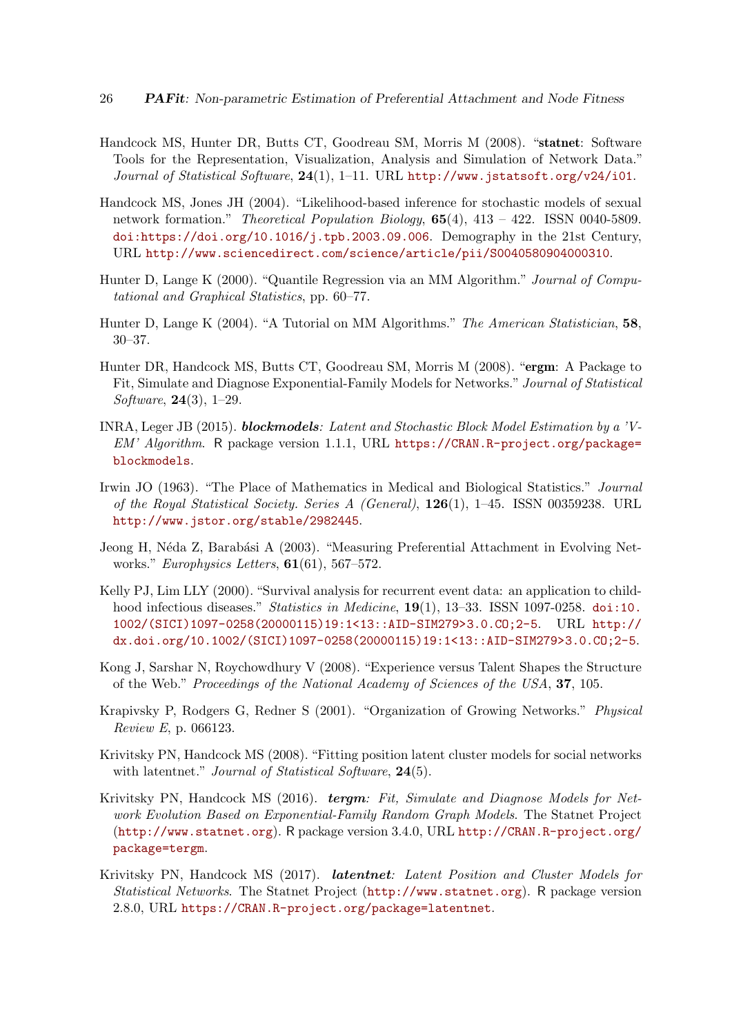- <span id="page-25-13"></span>Handcock MS, Hunter DR, Butts CT, Goodreau SM, Morris M (2008). "statnet: Software Tools for the Representation, Visualization, Analysis and Simulation of Network Data." Journal of Statistical Software, 24(1), 1-11. URL <http://www.jstatsoft.org/v24/i01>.
- <span id="page-25-7"></span>Handcock MS, Jones JH (2004). "Likelihood-based inference for stochastic models of sexual network formation." Theoretical Population Biology, 65(4), 413 – 422. ISSN 0040-5809. [doi:https://doi.org/10.1016/j.tpb.2003.09.006](http://dx.doi.org/https://doi.org/10.1016/j.tpb.2003.09.006). Demography in the 21st Century, URL <http://www.sciencedirect.com/science/article/pii/S0040580904000310>.
- <span id="page-25-5"></span>Hunter D, Lange K (2000). "Quantile Regression via an MM Algorithm." Journal of Computational and Graphical Statistics, pp. 60–77.
- <span id="page-25-6"></span>Hunter D, Lange K (2004). "A Tutorial on MM Algorithms." The American Statistician, 58, 30–37.
- <span id="page-25-10"></span>Hunter DR, Handcock MS, Butts CT, Goodreau SM, Morris M (2008). "ergm: A Package to Fit, Simulate and Diagnose Exponential-Family Models for Networks." Journal of Statistical Software, 24(3), 1–29.
- <span id="page-25-9"></span>INRA, Leger JB (2015). blockmodels: Latent and Stochastic Block Model Estimation by a 'V-EM' Algorithm. R package version 1.1.1, URL [https://CRAN.R-project.org/package=](https://CRAN.R-project.org/package=blockmodels) [blockmodels](https://CRAN.R-project.org/package=blockmodels).
- <span id="page-25-8"></span>Irwin JO (1963). "The Place of Mathematics in Medical and Biological Statistics." Journal of the Royal Statistical Society. Series A (General), 126(1), 1–45. ISSN 00359238. URL <http://www.jstor.org/stable/2982445>.
- <span id="page-25-3"></span>Jeong H, Néda Z, Barabási A (2003). "Measuring Preferential Attachment in Evolving Networks." Europhysics Letters, **61**(61), 567–572.
- <span id="page-25-4"></span>Kelly PJ, Lim LLY (2000). "Survival analysis for recurrent event data: an application to childhood infectious diseases." Statistics in Medicine, 19(1), 13-33. ISSN 1097-0258. [doi:10.](http://dx.doi.org/10.1002/(SICI)1097-0258(20000115)19:1<13::AID-SIM279>3.0.CO;2-5) [1002/\(SICI\)1097-0258\(20000115\)19:1<13::AID-SIM279>3.0.CO;2-5](http://dx.doi.org/10.1002/(SICI)1097-0258(20000115)19:1<13::AID-SIM279>3.0.CO;2-5). URL [http://](http://dx.doi.org/10.1002/(SICI)1097-0258(20000115)19:1<13::AID-SIM279>3.0.CO;2-5) [dx.doi.org/10.1002/\(SICI\)1097-0258\(20000115\)19:1<13::AID-SIM279>3.0.CO;2-5](http://dx.doi.org/10.1002/(SICI)1097-0258(20000115)19:1<13::AID-SIM279>3.0.CO;2-5).
- <span id="page-25-2"></span>Kong J, Sarshar N, Roychowdhury V (2008). "Experience versus Talent Shapes the Structure of the Web." Proceedings of the National Academy of Sciences of the USA, 37, 105.
- <span id="page-25-1"></span>Krapivsky P, Rodgers G, Redner S (2001). "Organization of Growing Networks." Physical Review E, p. 066123.
- <span id="page-25-11"></span>Krivitsky PN, Handcock MS (2008). "Fitting position latent cluster models for social networks with latentnet." Journal of Statistical Software, 24(5).
- <span id="page-25-0"></span>Krivitsky PN, Handcock MS (2016). **tergm**: Fit, Simulate and Diagnose Models for Network Evolution Based on Exponential-Family Random Graph Models. The Statnet Project (<http://www.statnet.org>). R package version 3.4.0, URL [http://CRAN.R-project.org/](http://CRAN.R-project.org/package=tergm) [package=tergm](http://CRAN.R-project.org/package=tergm).
- <span id="page-25-12"></span>Krivitsky PN, Handcock MS (2017). *latentnet: Latent Position and Cluster Models for* Statistical Networks. The Statnet Project (<http://www.statnet.org>). R package version 2.8.0, URL <https://CRAN.R-project.org/package=latentnet>.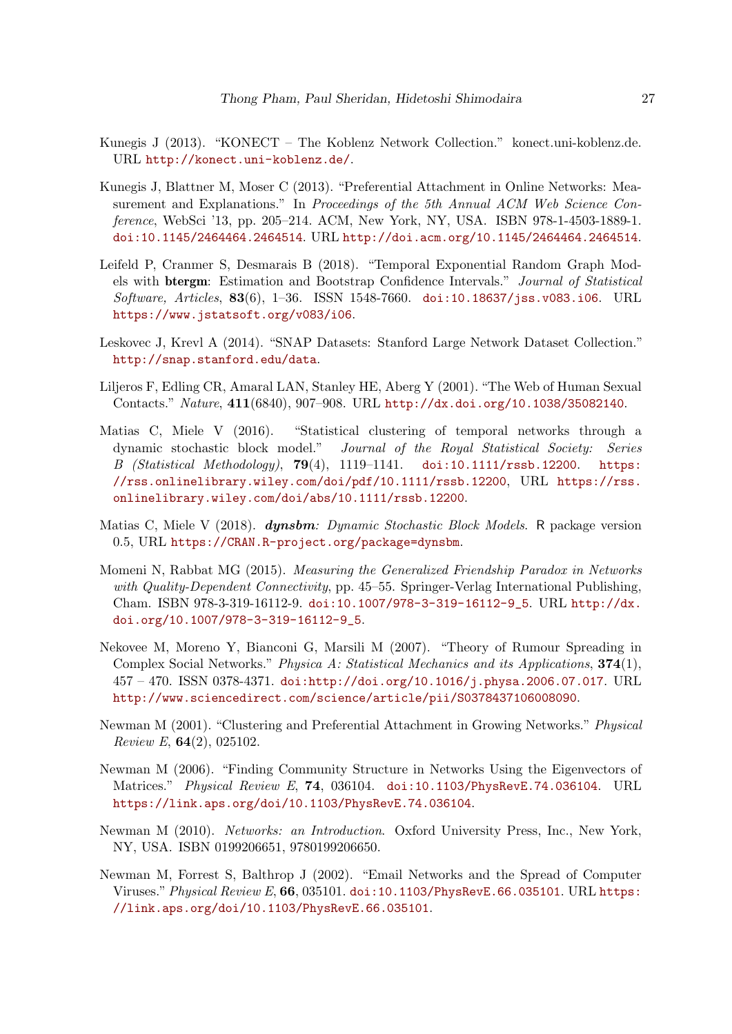- <span id="page-26-8"></span>Kunegis J (2013). "KONECT – The Koblenz Network Collection." konect.uni-koblenz.de. URL <http://konect.uni-koblenz.de/>.
- <span id="page-26-7"></span>Kunegis J, Blattner M, Moser C (2013). "Preferential Attachment in Online Networks: Measurement and Explanations." In Proceedings of the 5th Annual ACM Web Science Conference, WebSci '13, pp. 205–214. ACM, New York, NY, USA. ISBN 978-1-4503-1889-1. [doi:10.1145/2464464.2464514](http://dx.doi.org/10.1145/2464464.2464514). URL <http://doi.acm.org/10.1145/2464464.2464514>.
- <span id="page-26-11"></span>Leifeld P, Cranmer S, Desmarais B (2018). "Temporal Exponential Random Graph Models with btergm: Estimation and Bootstrap Confidence Intervals." Journal of Statistical Software, Articles, 83(6), 1–36. ISSN 1548-7660. [doi:10.18637/jss.v083.i06](http://dx.doi.org/10.18637/jss.v083.i06). URL <https://www.jstatsoft.org/v083/i06>.
- <span id="page-26-9"></span>Leskovec J, Krevl A (2014). "SNAP Datasets: Stanford Large Network Dataset Collection." <http://snap.stanford.edu/data>.
- <span id="page-26-2"></span>Liljeros F, Edling CR, Amaral LAN, Stanley HE, Aberg Y (2001). "The Web of Human Sexual Contacts." Nature, 411(6840), 907–908. URL <http://dx.doi.org/10.1038/35082140>.
- <span id="page-26-5"></span>Matias C, Miele V (2016). "Statistical clustering of temporal networks through a dynamic stochastic block model." Journal of the Royal Statistical Society: Series B (Statistical Methodology), 79(4), 1119–1141. [doi:10.1111/rssb.12200](http://dx.doi.org/10.1111/rssb.12200). [https:](https://rss.onlinelibrary.wiley.com/doi/pdf/10.1111/rssb.12200) [//rss.onlinelibrary.wiley.com/doi/pdf/10.1111/rssb.12200](https://rss.onlinelibrary.wiley.com/doi/pdf/10.1111/rssb.12200), URL [https://rss.](https://rss.onlinelibrary.wiley.com/doi/abs/10.1111/rssb.12200) [onlinelibrary.wiley.com/doi/abs/10.1111/rssb.12200](https://rss.onlinelibrary.wiley.com/doi/abs/10.1111/rssb.12200).
- <span id="page-26-10"></span>Matias C, Miele V (2018). dynsbm: Dynamic Stochastic Block Models. R package version 0.5, URL <https://CRAN.R-project.org/package=dynsbm>.
- <span id="page-26-6"></span>Momeni N, Rabbat MG (2015). Measuring the Generalized Friendship Paradox in Networks with Quality-Dependent Connectivity, pp. 45–55. Springer-Verlag International Publishing, Cham. ISBN 978-3-319-16112-9. [doi:10.1007/978-3-319-16112-9\\_5](http://dx.doi.org/10.1007/978-3-319-16112-9_5). URL [http://dx.](http://dx.doi.org/10.1007/978-3-319-16112-9_5) [doi.org/10.1007/978-3-319-16112-9\\_5](http://dx.doi.org/10.1007/978-3-319-16112-9_5).
- <span id="page-26-3"></span>Nekovee M, Moreno Y, Bianconi G, Marsili M (2007). "Theory of Rumour Spreading in Complex Social Networks." Physica A: Statistical Mechanics and its Applications, 374(1), 457 – 470. ISSN 0378-4371. [doi:http://doi.org/10.1016/j.physa.2006.07.017](http://dx.doi.org/http://doi.org/10.1016/j.physa.2006.07.017). URL <http://www.sciencedirect.com/science/article/pii/S0378437106008090>.
- <span id="page-26-1"></span>Newman M (2001). "Clustering and Preferential Attachment in Growing Networks." Physical Review E, 64(2), 025102.
- <span id="page-26-12"></span>Newman M (2006). "Finding Community Structure in Networks Using the Eigenvectors of Matrices." Physical Review E, 74, 036104. [doi:10.1103/PhysRevE.74.036104](http://dx.doi.org/10.1103/PhysRevE.74.036104). URL <https://link.aps.org/doi/10.1103/PhysRevE.74.036104>.
- <span id="page-26-0"></span>Newman M (2010). Networks: an Introduction. Oxford University Press, Inc., New York, NY, USA. ISBN 0199206651, 9780199206650.
- <span id="page-26-4"></span>Newman M, Forrest S, Balthrop J (2002). "Email Networks and the Spread of Computer Viruses."Physical Review E, 66, 035101. [doi:10.1103/PhysRevE.66.035101](http://dx.doi.org/10.1103/PhysRevE.66.035101). URL [https:](https://link.aps.org/doi/10.1103/PhysRevE.66.035101) [//link.aps.org/doi/10.1103/PhysRevE.66.035101](https://link.aps.org/doi/10.1103/PhysRevE.66.035101).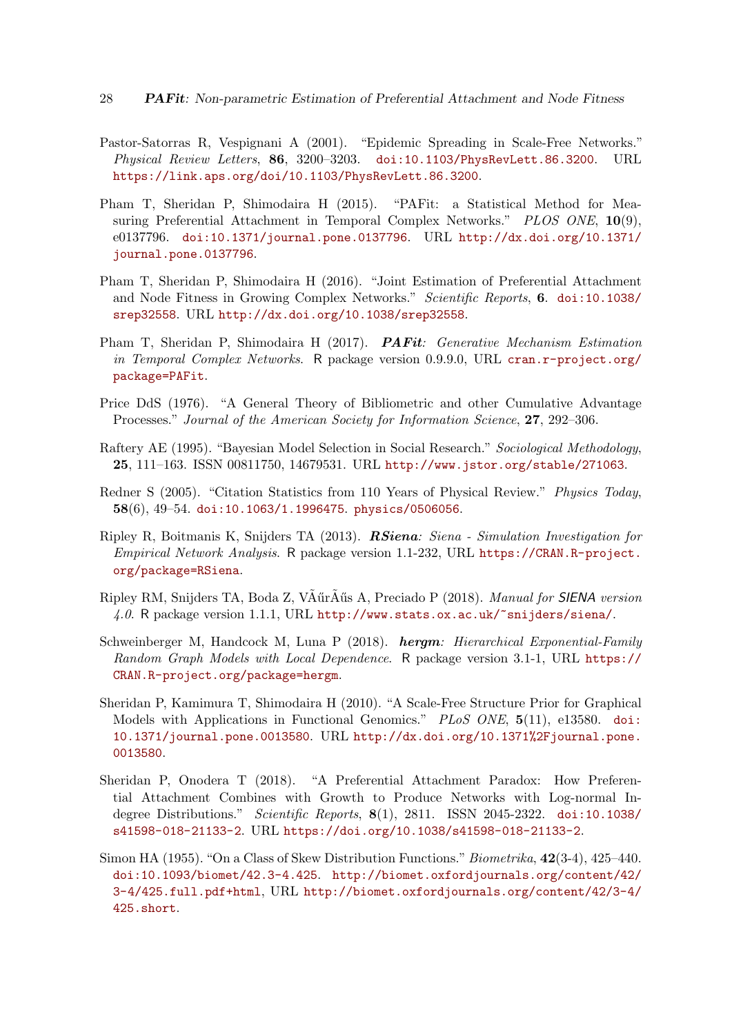- <span id="page-27-0"></span>Pastor-Satorras R, Vespignani A (2001). "Epidemic Spreading in Scale-Free Networks." Physical Review Letters, 86, 3200-3203. [doi:10.1103/PhysRevLett.86.3200](http://dx.doi.org/10.1103/PhysRevLett.86.3200). URL <https://link.aps.org/doi/10.1103/PhysRevLett.86.3200>.
- <span id="page-27-7"></span>Pham T, Sheridan P, Shimodaira H (2015). "PAFit: a Statistical Method for Measuring Preferential Attachment in Temporal Complex Networks." PLOS ONE, 10(9), e0137796. [doi:10.1371/journal.pone.0137796](http://dx.doi.org/10.1371/journal.pone.0137796). URL [http://dx.doi.org/10.1371/](http://dx.doi.org/10.1371/journal.pone.0137796) [journal.pone.0137796](http://dx.doi.org/10.1371/journal.pone.0137796).
- <span id="page-27-5"></span>Pham T, Sheridan P, Shimodaira H (2016). "Joint Estimation of Preferential Attachment and Node Fitness in Growing Complex Networks." Scientific Reports, 6. [doi:10.1038/](http://dx.doi.org/10.1038/srep32558) [srep32558](http://dx.doi.org/10.1038/srep32558). URL <http://dx.doi.org/10.1038/srep32558>.
- <span id="page-27-9"></span>Pham T, Sheridan P, Shimodaira H (2017). PAFit: Generative Mechanism Estimation in Temporal Complex Networks. R package version 0.9.9.0, URL [cran.r-project.org/](cran.r-project.org/package=PAFit) [package=PAFit](cran.r-project.org/package=PAFit).
- <span id="page-27-4"></span>Price DdS (1976). "A General Theory of Bibliometric and other Cumulative Advantage Processes." Journal of the American Society for Information Science, 27, 292–306.
- <span id="page-27-10"></span>Raftery AE (1995). "Bayesian Model Selection in Social Research." Sociological Methodology, 25, 111–163. ISSN 00811750, 14679531. URL <http://www.jstor.org/stable/271063>.
- <span id="page-27-1"></span>Redner S (2005). "Citation Statistics from 110 Years of Physical Review." Physics Today, 58(6), 49–54. [doi:10.1063/1.1996475](http://dx.doi.org/10.1063/1.1996475). <physics/0506056>.
- <span id="page-27-2"></span>Ripley R, Boitmanis K, Snijders TA (2013). RSiena: Siena - Simulation Investigation for Empirical Network Analysis. R package version 1.1-232, URL [https://CRAN.R-project.](https://CRAN.R-project.org/package=RSiena) [org/package=RSiena](https://CRAN.R-project.org/package=RSiena).
- <span id="page-27-12"></span>Ripley RM, Snijders TA, Boda Z, VÃűrÃűs A, Preciado P (2018). Manual for SIENA version 4.0. R package version 1.1.1, URL <http://www.stats.ox.ac.uk/~snijders/siena/>.
- <span id="page-27-11"></span>Schweinberger M, Handcock M, Luna P (2018). hergm: Hierarchical Exponential-Family Random Graph Models with Local Dependence. R package version 3.1-1, URL [https://](https://CRAN.R-project.org/package=hergm) [CRAN.R-project.org/package=hergm](https://CRAN.R-project.org/package=hergm).
- <span id="page-27-6"></span>Sheridan P, Kamimura T, Shimodaira H (2010). "A Scale-Free Structure Prior for Graphical Models with Applications in Functional Genomics." PLoS ONE, 5(11), e13580. [doi:](http://dx.doi.org/10.1371/journal.pone.0013580) [10.1371/journal.pone.0013580](http://dx.doi.org/10.1371/journal.pone.0013580). URL [http://dx.doi.org/10.1371%2Fjournal.pone.](http://dx.doi.org/10.1371%2Fjournal.pone.0013580) [0013580](http://dx.doi.org/10.1371%2Fjournal.pone.0013580).
- <span id="page-27-8"></span>Sheridan P, Onodera T (2018). "A Preferential Attachment Paradox: How Preferential Attachment Combines with Growth to Produce Networks with Log-normal Indegree Distributions." Scientific Reports, 8(1), 2811. ISSN 2045-2322. [doi:10.1038/](http://dx.doi.org/10.1038/s41598-018-21133-2) [s41598-018-21133-2](http://dx.doi.org/10.1038/s41598-018-21133-2). URL <https://doi.org/10.1038/s41598-018-21133-2>.
- <span id="page-27-3"></span>Simon HA (1955). "On a Class of Skew Distribution Functions." Biometrika, 42(3-4), 425–440. [doi:10.1093/biomet/42.3-4.425](http://dx.doi.org/10.1093/biomet/42.3-4.425). [http://biomet.oxfordjournals.org/content/42/](http://biomet.oxfordjournals.org/content/42/3-4/425.full.pdf+html) [3-4/425.full.pdf+html](http://biomet.oxfordjournals.org/content/42/3-4/425.full.pdf+html), URL [http://biomet.oxfordjournals.org/content/42/3-4/](http://biomet.oxfordjournals.org/content/42/3-4/425.short) [425.short](http://biomet.oxfordjournals.org/content/42/3-4/425.short).